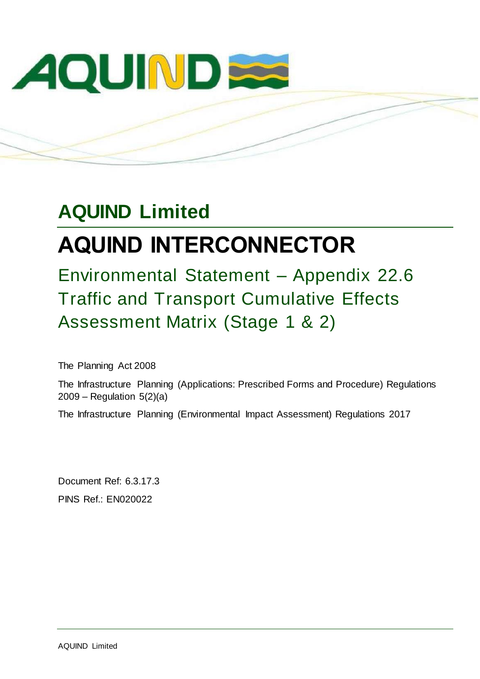

## **AQUIND Limited**

# **AQUIND INTERCONNECTOR**

Environmental Statement – Appendix 22.6 Traffic and Transport Cumulative Effects Assessment Matrix (Stage 1 & 2)

The Planning Act 2008

The Infrastructure Planning (Applications: Prescribed Forms and Procedure) Regulations 2009 – Regulation 5(2)(a)

The Infrastructure Planning (Environmental Impact Assessment) Regulations 2017

Document Ref: 6.3.17.3 PINS Ref.: EN020022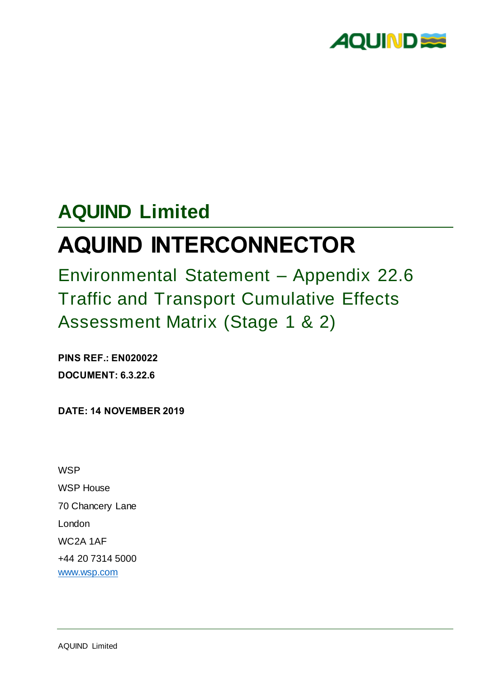

## **AQUIND Limited**

# **AQUIND INTERCONNECTOR**

Environmental Statement – Appendix 22.6 Traffic and Transport Cumulative Effects Assessment Matrix (Stage 1 & 2)

**PINS REF.: EN020022 DOCUMENT: 6.3.22.6**

**DATE: 14 NOVEMBER 2019**

**WSP** WSP House 70 Chancery Lane London WC2A 1AF +44 20 7314 5000 [www.wsp.com](http://www.wsp.com/)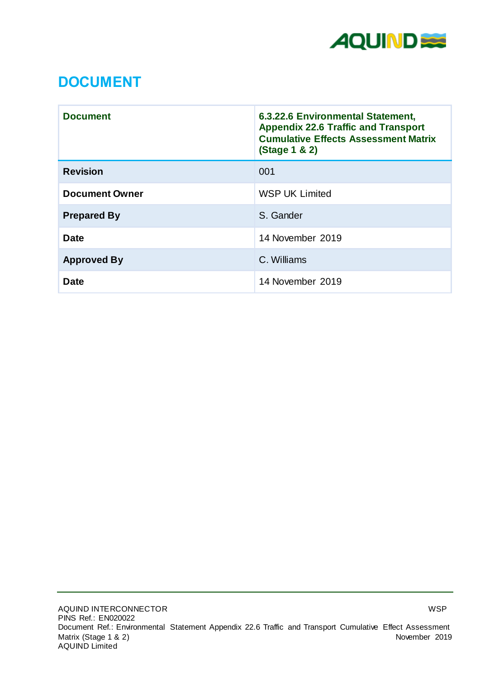

### **DOCUMENT**

| <b>Document</b>       | 6.3.22.6 Environmental Statement,<br><b>Appendix 22.6 Traffic and Transport</b><br><b>Cumulative Effects Assessment Matrix</b><br>(Stage 1 & 2) |
|-----------------------|-------------------------------------------------------------------------------------------------------------------------------------------------|
| <b>Revision</b>       | 001                                                                                                                                             |
| <b>Document Owner</b> | <b>WSP UK Limited</b>                                                                                                                           |
| <b>Prepared By</b>    | S. Gander                                                                                                                                       |
| <b>Date</b>           | 14 November 2019                                                                                                                                |
| <b>Approved By</b>    | C. Williams                                                                                                                                     |
| <b>Date</b>           | 14 November 2019                                                                                                                                |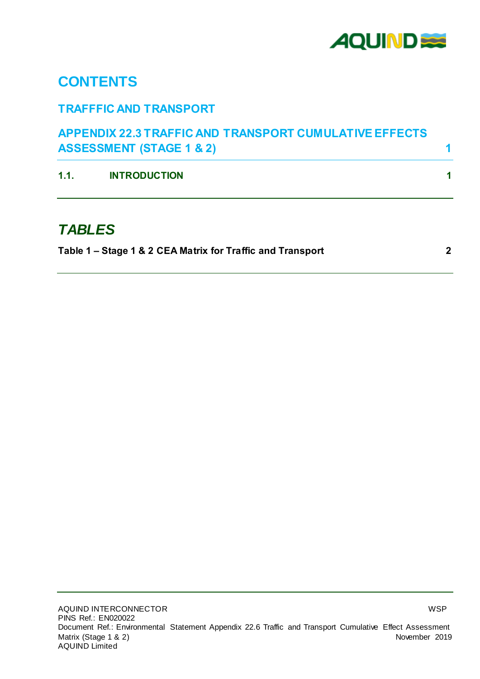

### **CONTENTS**

#### **TRAFFFIC AND TRANSPORT**

| <b>APPENDIX 22.3 TRAFFIC AND TRANSPORT CUMULATIVE EFFECTS</b> |  |
|---------------------------------------------------------------|--|
| <b>ASSESSMENT (STAGE 1 &amp; 2)</b>                           |  |

**1.1. [INTRODUCTION](#page-4-1) 1**

### *TABLES*

**Table 1 – [Stage 1 & 2 CEA Matrix for Traffic and Transport](#page-5-0) 2**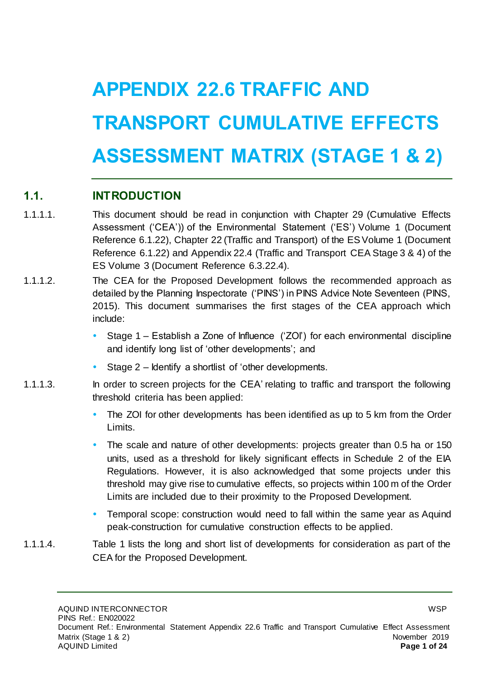# <span id="page-4-0"></span>**APPENDIX 22.6 TRAFFIC AND TRANSPORT CUMULATIVE EFFECTS ASSESSMENT MATRIX (STAGE 1 & 2)**

#### <span id="page-4-1"></span>**1.1. INTRODUCTION**

- 1.1.1.1. This document should be read in conjunction with Chapter 29 (Cumulative Effects Assessment ('CEA')) of the Environmental Statement ('ES') Volume 1 (Document Reference 6.1.22), Chapter 22 (Traffic and Transport) of the ES Volume 1 (Document Reference 6.1.22) and Appendix 22.4 (Traffic and Transport CEA Stage 3 & 4) of the ES Volume 3 (Document Reference 6.3.22.4).
- 1.1.1.2. The CEA for the Proposed Development follows the recommended approach as detailed by the Planning Inspectorate ('PINS') in PINS Advice Note Seventeen (PINS, 2015). This document summarises the first stages of the CEA approach which include:
	- Stage 1 Establish a Zone of Influence ('ZOI') for each environmental discipline and identify long list of 'other developments'; and
	- Stage 2 Identify a shortlist of 'other developments.
- 1.1.1.3. In order to screen projects for the CEA' relating to traffic and transport the following threshold criteria has been applied:
	- The ZOI for other developments has been identified as up to 5 km from the Order Limits.
	- The scale and nature of other developments: projects greater than 0.5 ha or 150 units, used as a threshold for likely significant effects in Schedule 2 of the EIA Regulations. However, it is also acknowledged that some projects under this threshold may give rise to cumulative effects, so projects within 100 m of the Order Limits are included due to their proximity to the Proposed Development.
	- Temporal scope: construction would need to fall within the same year as Aquind peak-construction for cumulative construction effects to be applied.
- 1.1.1.4. Table 1 lists the long and short list of developments for consideration as part of the CEA for the Proposed Development.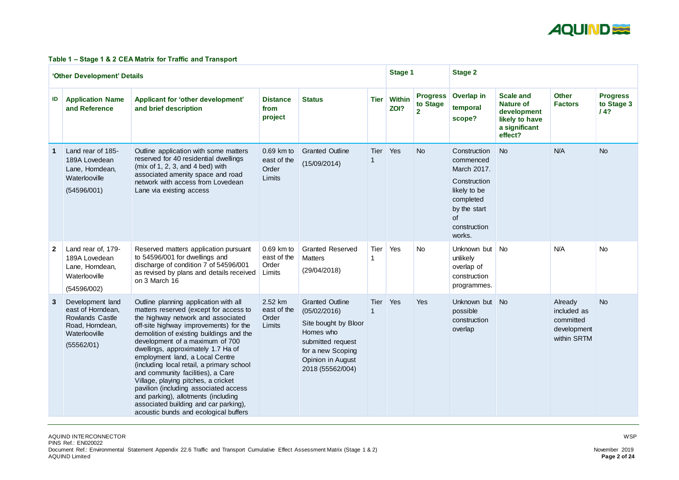

#### <span id="page-5-0"></span>**Table 1 – Stage 1 & 2 CEA Matrix for Traffic and Transport**

|              | 'Other Development' Details                                                                                       |                                                                                                                                                                                                                                                                                                                                                                                                                                                                                                                                                                                                                    |                                                |                                                                                                                                                                |             |                       |                                               | <b>Stage 2</b>                                                                                                                        |                                                                                                   |                                                                   |                                      |
|--------------|-------------------------------------------------------------------------------------------------------------------|--------------------------------------------------------------------------------------------------------------------------------------------------------------------------------------------------------------------------------------------------------------------------------------------------------------------------------------------------------------------------------------------------------------------------------------------------------------------------------------------------------------------------------------------------------------------------------------------------------------------|------------------------------------------------|----------------------------------------------------------------------------------------------------------------------------------------------------------------|-------------|-----------------------|-----------------------------------------------|---------------------------------------------------------------------------------------------------------------------------------------|---------------------------------------------------------------------------------------------------|-------------------------------------------------------------------|--------------------------------------|
| ID           | <b>Application Name</b><br>and Reference                                                                          | Applicant for 'other development'<br>and brief description                                                                                                                                                                                                                                                                                                                                                                                                                                                                                                                                                         | <b>Distance</b><br>from<br>project             | <b>Status</b>                                                                                                                                                  | <b>Tier</b> | <b>Within</b><br>ZOI? | <b>Progress</b><br>to Stage<br>$\overline{2}$ | Overlap in<br>temporal<br>scope?                                                                                                      | <b>Scale and</b><br><b>Nature of</b><br>development<br>likely to have<br>a significant<br>effect? | <b>Other</b><br><b>Factors</b>                                    | <b>Progress</b><br>to Stage 3<br>14? |
|              | Land rear of 185-<br>189A Lovedean<br>Lane, Horndean,<br>Waterlooville<br>(54596/001)                             | Outline application with some matters<br>reserved for 40 residential dwellings<br>(mix of $1, 2, 3$ , and $4$ bed) with<br>associated amenity space and road<br>network with access from Lovedean<br>Lane via existing access                                                                                                                                                                                                                                                                                                                                                                                      | $0.69$ km to<br>east of the<br>Order<br>Limits | <b>Granted Outline</b><br>(15/09/2014)                                                                                                                         | Tier        | Yes                   | <b>No</b>                                     | Construction<br>commenced<br>March 2017.<br>Construction<br>likely to be<br>completed<br>by the start<br>of<br>construction<br>works. | <b>No</b>                                                                                         | N/A                                                               | <b>No</b>                            |
| $\mathbf{2}$ | Land rear of, 179-<br>189A Lovedean<br>Lane, Horndean,<br>Waterlooville<br>(54596/002)                            | Reserved matters application pursuant<br>to 54596/001 for dwellings and<br>discharge of condition 7 of 54596/001<br>as revised by plans and details received<br>on 3 March 16                                                                                                                                                                                                                                                                                                                                                                                                                                      | $0.69$ km to<br>east of the<br>Order<br>Limits | <b>Granted Reserved</b><br><b>Matters</b><br>(29/04/2018)                                                                                                      | Tier        | Yes                   | <b>No</b>                                     | Unknown but<br>unlikely<br>overlap of<br>construction<br>programmes.                                                                  | <b>No</b>                                                                                         | N/A                                                               | <b>No</b>                            |
| 3            | Development land<br>east of Horndean,<br><b>Rowlands Castle</b><br>Road, Horndean,<br>Waterlooville<br>(55562/01) | Outline planning application with all<br>matters reserved (except for access to<br>the highway network and associated<br>off-site highway improvements) for the<br>demolition of existing buildings and the<br>development of a maximum of 700<br>dwellings, approximately 1.7 Ha of<br>employment land, a Local Centre<br>(including local retail, a primary school<br>and community facilities), a Care<br>Village, playing pitches, a cricket<br>pavilion (including associated access<br>and parking), allotments (including<br>associated building and car parking),<br>acoustic bunds and ecological buffers | 2.52 km<br>east of the<br>Order<br>Limits      | <b>Granted Outline</b><br>(05/02/2016)<br>Site bought by Bloor<br>Homes who<br>submitted request<br>for a new Scoping<br>Opinion in August<br>2018 (55562/004) | Tier        | Yes                   | <b>Yes</b>                                    | Unknown but<br>possible<br>construction<br>overlap                                                                                    | $\blacksquare$ No                                                                                 | Already<br>included as<br>committed<br>development<br>within SRTM | <b>No</b>                            |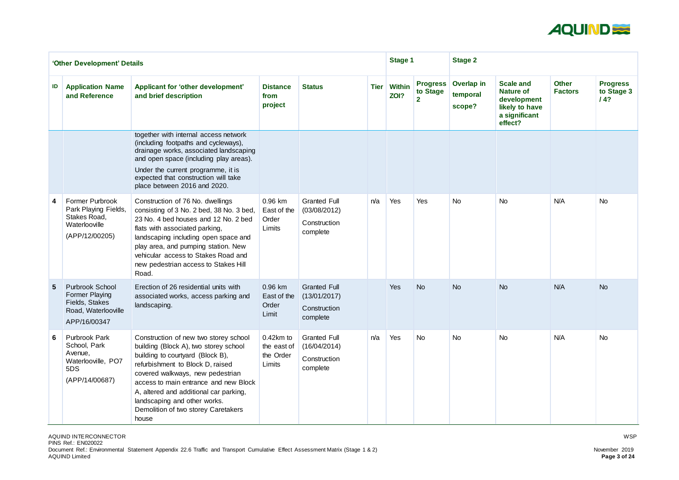

|    | 'Other Development' Details                                                                              |                                                                                                                                                                                                                                                                                                                                                               | <b>Stage 1</b>                                    |                                                                 | <b>Stage 2</b> |                       |                                               |                                  |                                                                                                   |                                |                                      |
|----|----------------------------------------------------------------------------------------------------------|---------------------------------------------------------------------------------------------------------------------------------------------------------------------------------------------------------------------------------------------------------------------------------------------------------------------------------------------------------------|---------------------------------------------------|-----------------------------------------------------------------|----------------|-----------------------|-----------------------------------------------|----------------------------------|---------------------------------------------------------------------------------------------------|--------------------------------|--------------------------------------|
| ID | <b>Application Name</b><br>and Reference                                                                 | Applicant for 'other development'<br>and brief description                                                                                                                                                                                                                                                                                                    | <b>Distance</b><br>from<br>project                | <b>Status</b>                                                   | <b>Tier</b>    | <b>Within</b><br>ZOI? | <b>Progress</b><br>to Stage<br>$\overline{2}$ | Overlap in<br>temporal<br>scope? | <b>Scale and</b><br><b>Nature of</b><br>development<br>likely to have<br>a significant<br>effect? | <b>Other</b><br><b>Factors</b> | <b>Progress</b><br>to Stage 3<br>/4? |
|    |                                                                                                          | together with internal access network<br>(including footpaths and cycleways),<br>drainage works, associated landscaping<br>and open space (including play areas).<br>Under the current programme, it is<br>expected that construction will take<br>place between 2016 and 2020.                                                                               |                                                   |                                                                 |                |                       |                                               |                                  |                                                                                                   |                                |                                      |
| 4  | <b>Former Purbrook</b><br>Park Playing Fields,<br>Stakes Road,<br>Waterlooville<br>(APP/12/00205)        | Construction of 76 No. dwellings<br>consisting of 3 No. 2 bed, 38 No. 3 bed,<br>23 No. 4 bed houses and 12 No. 2 bed<br>flats with associated parking,<br>landscaping including open space and<br>play area, and pumping station. New<br>vehicular access to Stakes Road and<br>new pedestrian access to Stakes Hill<br>Road.                                 | 0.96 km<br>East of the<br>Order<br>Limits         | <b>Granted Full</b><br>(03/08/2012)<br>Construction<br>complete | n/a            | Yes                   | <b>Yes</b>                                    | <b>No</b>                        | <b>No</b>                                                                                         | N/A                            | <b>No</b>                            |
| 5  | <b>Purbrook School</b><br><b>Former Playing</b><br>Fields, Stakes<br>Road, Waterlooville<br>APP/16/00347 | Erection of 26 residential units with<br>associated works, access parking and<br>landscaping.                                                                                                                                                                                                                                                                 | 0.96 km<br>East of the<br>Order<br>Limit          | <b>Granted Full</b><br>(13/01/2017)<br>Construction<br>complete |                | Yes                   | <b>No</b>                                     | <b>No</b>                        | <b>No</b>                                                                                         | N/A                            | <b>No</b>                            |
| 6  | <b>Purbrook Park</b><br>School, Park<br>Avenue,<br>Waterlooville, PO7<br>5DS<br>(APP/14/00687)           | Construction of new two storey school<br>building (Block A), two storey school<br>building to courtyard (Block B),<br>refurbishment to Block D, raised<br>covered walkways, new pedestrian<br>access to main entrance and new Block<br>A, altered and additional car parking,<br>landscaping and other works.<br>Demolition of two storey Caretakers<br>house | $0.42km$ to<br>the east of<br>the Order<br>Limits | <b>Granted Full</b><br>(16/04/2014)<br>Construction<br>complete | n/a            | Yes                   | No                                            | No                               | <b>No</b>                                                                                         | N/A                            | No                                   |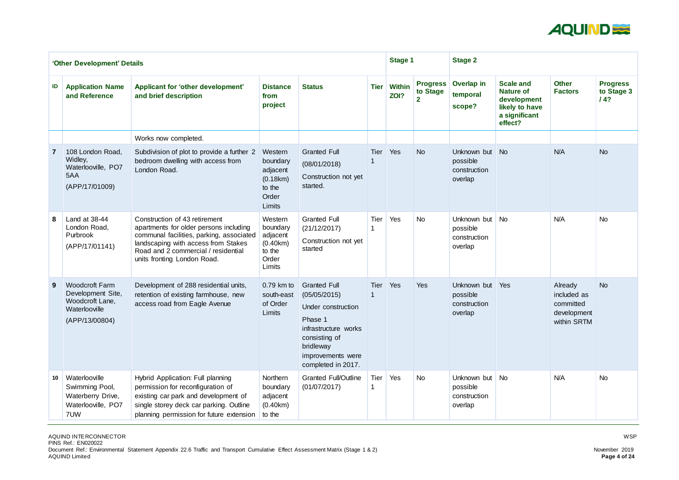

|    | 'Other Development' Details                                                                      |                                                                                                                                                                                                                                  | <b>Stage 1</b>                                                           |                                                                                                                                                                       | <b>Stage 2</b> |                       |                                               |                                                    |                                                                                                   |                                                                   |                                      |
|----|--------------------------------------------------------------------------------------------------|----------------------------------------------------------------------------------------------------------------------------------------------------------------------------------------------------------------------------------|--------------------------------------------------------------------------|-----------------------------------------------------------------------------------------------------------------------------------------------------------------------|----------------|-----------------------|-----------------------------------------------|----------------------------------------------------|---------------------------------------------------------------------------------------------------|-------------------------------------------------------------------|--------------------------------------|
| ID | <b>Application Name</b><br>and Reference                                                         | <b>Applicant for 'other development'</b><br>and brief description                                                                                                                                                                | <b>Distance</b><br>from<br>project                                       | <b>Status</b>                                                                                                                                                         | <b>Tier</b>    | <b>Within</b><br>ZOI? | <b>Progress</b><br>to Stage<br>$\overline{2}$ | <b>Overlap in</b><br>temporal<br>scope?            | <b>Scale and</b><br><b>Nature of</b><br>development<br>likely to have<br>a significant<br>effect? | <b>Other</b><br><b>Factors</b>                                    | <b>Progress</b><br>to Stage 3<br>14? |
|    |                                                                                                  | Works now completed.                                                                                                                                                                                                             |                                                                          |                                                                                                                                                                       |                |                       |                                               |                                                    |                                                                                                   |                                                                   |                                      |
|    | 108 London Road,<br>Widley,<br>Waterlooville, PO7<br>5AA<br>(APP/17/01009)                       | Subdivision of plot to provide a further 2<br>bedroom dwelling with access from<br>London Road.                                                                                                                                  | Western<br>boundary<br>adjacent<br>(0.18km)<br>to the<br>Order<br>Limits | <b>Granted Full</b><br>(08/01/2018)<br>Construction not yet<br>started.                                                                                               | <b>Tier</b>    | Yes                   | <b>No</b>                                     | Unknown but<br>possible<br>construction<br>overlap | No                                                                                                | N/A                                                               | <b>No</b>                            |
| 8  | Land at 38-44<br>London Road,<br>Purbrook<br>(APP/17/01141)                                      | Construction of 43 retirement<br>apartments for older persons including<br>communal facilities, parking, associated<br>landscaping with access from Stakes<br>Road and 2 commercial / residential<br>units fronting London Road. | Western<br>boundary<br>adjacent<br>(0.40km)<br>to the<br>Order<br>Limits | <b>Granted Full</b><br>(21/12/2017)<br>Construction not yet<br>started                                                                                                | Tier           | Yes                   | <b>No</b>                                     | Unknown but<br>possible<br>construction<br>overlap | <b>No</b>                                                                                         | N/A                                                               | <b>No</b>                            |
| 9  | <b>Woodcroft Farm</b><br>Development Site,<br>Woodcroft Lane,<br>Waterlooville<br>(APP/13/00804) | Development of 288 residential units,<br>retention of existing farmhouse, new<br>access road from Eagle Avenue                                                                                                                   | $0.79$ km to<br>south-east<br>of Order<br>Limits                         | <b>Granted Full</b><br>(05/05/2015)<br>Under construction<br>Phase 1<br>infrastructure works<br>consisting of<br>bridleway<br>improvements were<br>completed in 2017. | <b>Tier</b>    | Yes                   | Yes                                           | Unknown but<br>possible<br>construction<br>overlap | Yes                                                                                               | Already<br>included as<br>committed<br>development<br>within SRTM | <b>No</b>                            |
| 10 | Waterlooville<br>Swimming Pool,<br>Waterberry Drive,<br>Waterlooville, PO7<br>7UW                | Hybrid Application: Full planning<br>permission for reconfiguration of<br>existing car park and development of<br>single storey deck car parking. Outline<br>planning permission for future extension                            | Northern<br>boundary<br>adjacent<br>(0.40km)<br>to the                   | <b>Granted Full/Outline</b><br>(01/07/2017)                                                                                                                           | Tier           | Yes                   | <b>No</b>                                     | Unknown but<br>possible<br>construction<br>overlap | No                                                                                                | N/A                                                               | <b>No</b>                            |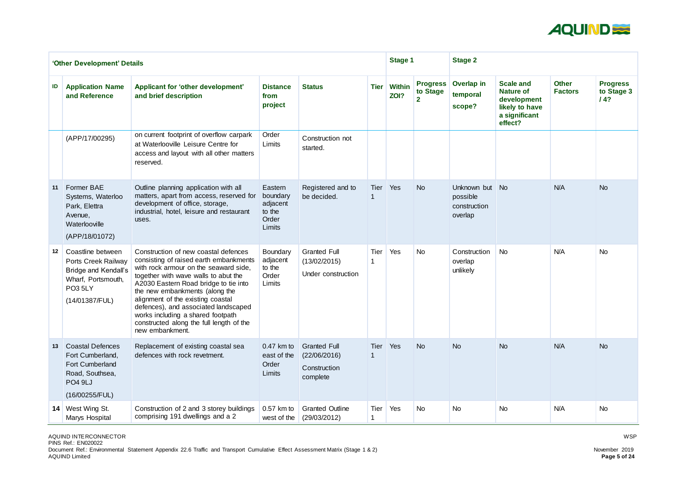

|    | 'Other Development' Details                                                                                                       |                                                                                                                                                                                                                                                                                                                                                                                                                             |                                                              | <b>Stage 1</b>                                                  |             | <b>Stage 2</b>        |                                               |                                                       |                                                                                                   |                                |                                       |
|----|-----------------------------------------------------------------------------------------------------------------------------------|-----------------------------------------------------------------------------------------------------------------------------------------------------------------------------------------------------------------------------------------------------------------------------------------------------------------------------------------------------------------------------------------------------------------------------|--------------------------------------------------------------|-----------------------------------------------------------------|-------------|-----------------------|-----------------------------------------------|-------------------------------------------------------|---------------------------------------------------------------------------------------------------|--------------------------------|---------------------------------------|
| ID | <b>Application Name</b><br>and Reference                                                                                          | Applicant for 'other development'<br>and brief description                                                                                                                                                                                                                                                                                                                                                                  | <b>Distance</b><br>from<br>project                           | <b>Status</b>                                                   | <b>Tier</b> | <b>Within</b><br>ZOI? | <b>Progress</b><br>to Stage<br>$\overline{2}$ | <b>Overlap in</b><br>temporal<br>scope?               | <b>Scale and</b><br><b>Nature of</b><br>development<br>likely to have<br>a significant<br>effect? | <b>Other</b><br><b>Factors</b> | <b>Progress</b><br>to Stage 3<br>/ 4? |
|    | (APP/17/00295)                                                                                                                    | on current footprint of overflow carpark<br>at Waterlooville Leisure Centre for<br>access and layout with all other matters<br>reserved.                                                                                                                                                                                                                                                                                    | Order<br>Limits                                              | Construction not<br>started.                                    |             |                       |                                               |                                                       |                                                                                                   |                                |                                       |
| 11 | <b>Former BAE</b><br>Systems, Waterloo<br>Park, Elettra<br>Avenue,<br>Waterlooville<br>(APP/18/01072)                             | Outline planning application with all<br>matters, apart from access, reserved for<br>development of office, storage,<br>industrial, hotel, leisure and restaurant<br>uses.                                                                                                                                                                                                                                                  | Eastern<br>boundary<br>adjacent<br>to the<br>Order<br>Limits | Registered and to<br>be decided.                                | <b>Tier</b> | Yes                   | <b>No</b>                                     | Unknown but No<br>possible<br>construction<br>overlap |                                                                                                   | N/A                            | <b>No</b>                             |
| 12 | Coastline between<br>Ports Creek Railway<br><b>Bridge and Kendall's</b><br>Wharf, Portsmouth,<br><b>PO3 5LY</b><br>(14/01387/FUL) | Construction of new coastal defences<br>consisting of raised earth embankments<br>with rock armour on the seaward side,<br>together with wave walls to abut the<br>A2030 Eastern Road bridge to tie into<br>the new embankments (along the<br>alignment of the existing coastal<br>defences), and associated landscaped<br>works including a shared footpath<br>constructed along the full length of the<br>new embankment. | <b>Boundary</b><br>adjacent<br>to the<br>Order<br>Limits     | <b>Granted Full</b><br>(13/02/2015)<br>Under construction       | <b>Tier</b> | Yes                   | <b>No</b>                                     | Construction<br>overlap<br>unlikely                   | <b>No</b>                                                                                         | N/A                            | <b>No</b>                             |
| 13 | <b>Coastal Defences</b><br>Fort Cumberland,<br><b>Fort Cumberland</b><br>Road, Southsea,<br><b>PO4 9LJ</b><br>(16/00255/FUL)      | Replacement of existing coastal sea<br>defences with rock revetment.                                                                                                                                                                                                                                                                                                                                                        | $0.47$ km to<br>east of the<br>Order<br>Limits               | <b>Granted Full</b><br>(22/06/2016)<br>Construction<br>complete | Tier Yes    |                       | <b>No</b>                                     | <b>No</b>                                             | <b>No</b>                                                                                         | N/A                            | <b>No</b>                             |
|    | 14 West Wing St.<br>Marys Hospital                                                                                                | Construction of 2 and 3 storey buildings<br>comprising 191 dwellings and a 2                                                                                                                                                                                                                                                                                                                                                | $0.57$ km to<br>west of the                                  | <b>Granted Outline</b><br>(29/03/2012)                          | Tier        | Yes                   | <b>No</b>                                     | <b>No</b>                                             | <b>No</b>                                                                                         | N/A                            | <b>No</b>                             |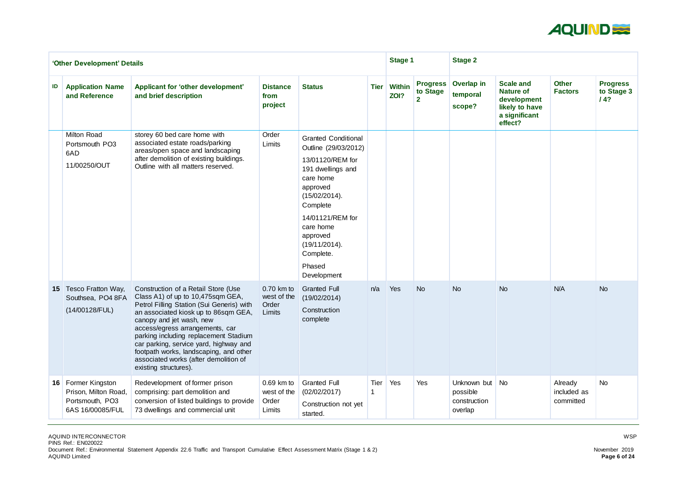

|    | 'Other Development' Details                                                       |                                                                                                                                                                                                                                                                                                                                                                                                                             |                                                |                                                                                                                                                                                                                                                       | <b>Stage 1</b> |                       | <b>Stage 2</b>                                |                                                       |                                                                                                   |                                     |                                      |
|----|-----------------------------------------------------------------------------------|-----------------------------------------------------------------------------------------------------------------------------------------------------------------------------------------------------------------------------------------------------------------------------------------------------------------------------------------------------------------------------------------------------------------------------|------------------------------------------------|-------------------------------------------------------------------------------------------------------------------------------------------------------------------------------------------------------------------------------------------------------|----------------|-----------------------|-----------------------------------------------|-------------------------------------------------------|---------------------------------------------------------------------------------------------------|-------------------------------------|--------------------------------------|
| ID | <b>Application Name</b><br>and Reference                                          | Applicant for 'other development'<br>and brief description                                                                                                                                                                                                                                                                                                                                                                  | <b>Distance</b><br>from<br>project             | <b>Status</b>                                                                                                                                                                                                                                         | <b>Tier</b>    | <b>Within</b><br>ZOI? | <b>Progress</b><br>to Stage<br>$\overline{2}$ | Overlap in<br>temporal<br>scope?                      | <b>Scale and</b><br><b>Nature of</b><br>development<br>likely to have<br>a significant<br>effect? | <b>Other</b><br><b>Factors</b>      | <b>Progress</b><br>to Stage 3<br>14? |
|    | <b>Milton Road</b><br>Portsmouth PO3<br>6AD<br>11/00250/OUT                       | storey 60 bed care home with<br>associated estate roads/parking<br>areas/open space and landscaping<br>after demolition of existing buildings.<br>Outline with all matters reserved.                                                                                                                                                                                                                                        | Order<br>Limits                                | <b>Granted Conditional</b><br>Outline (29/03/2012)<br>13/01120/REM for<br>191 dwellings and<br>care home<br>approved<br>(15/02/2014).<br>Complete<br>14/01121/REM for<br>care home<br>approved<br>(19/11/2014).<br>Complete.<br>Phased<br>Development |                |                       |                                               |                                                       |                                                                                                   |                                     |                                      |
|    | 15 Tesco Fratton Way,<br>Southsea, PO4 8FA<br>(14/00128/FUL)                      | Construction of a Retail Store (Use<br>Class A1) of up to 10,475sqm GEA,<br>Petrol Filling Station (Sui Generis) with<br>an associated kiosk up to 86sqm GEA,<br>canopy and jet wash, new<br>access/egress arrangements, car<br>parking including replacement Stadium<br>car parking, service yard, highway and<br>footpath works, landscaping, and other<br>associated works (after demolition of<br>existing structures). | 0.70 km to<br>west of the<br>Order<br>Limits   | <b>Granted Full</b><br>(19/02/2014)<br>Construction<br>complete                                                                                                                                                                                       | n/a            | Yes                   | <b>No</b>                                     | <b>No</b>                                             | <b>No</b>                                                                                         | N/A                                 | <b>No</b>                            |
|    | 16 Former Kingston<br>Prison, Milton Road,<br>Portsmouth, PO3<br>6AS 16/00085/FUL | Redevelopment of former prison<br>comprising: part demolition and<br>conversion of listed buildings to provide<br>73 dwellings and commercial unit                                                                                                                                                                                                                                                                          | $0.69$ km to<br>west of the<br>Order<br>Limits | <b>Granted Full</b><br>(02/02/2017)<br>Construction not yet<br>started.                                                                                                                                                                               | Tier           | Yes                   | Yes                                           | Unknown but No<br>possible<br>construction<br>overlap |                                                                                                   | Already<br>included as<br>committed | <b>No</b>                            |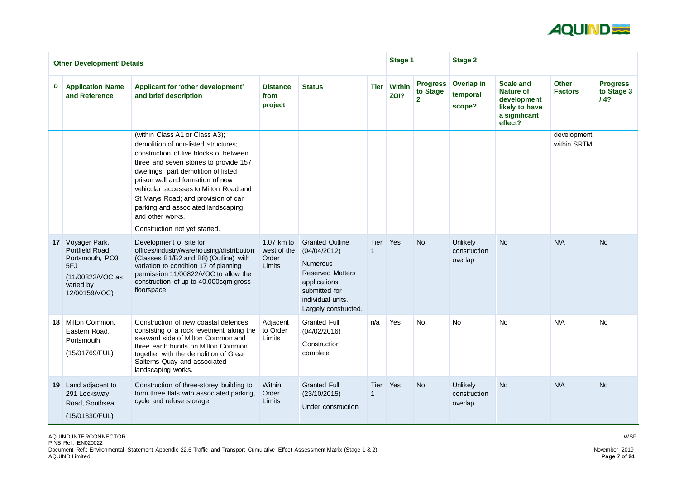

|                 | 'Other Development' Details                                                                                     |                                                                                                                                                                                                                                                                                                                                                                                                                   | <b>Stage 1</b>                               |                                                                                                                                                                    | <b>Stage 2</b> |                       |                                               |                                            |                                                                                                   |                                |                                      |
|-----------------|-----------------------------------------------------------------------------------------------------------------|-------------------------------------------------------------------------------------------------------------------------------------------------------------------------------------------------------------------------------------------------------------------------------------------------------------------------------------------------------------------------------------------------------------------|----------------------------------------------|--------------------------------------------------------------------------------------------------------------------------------------------------------------------|----------------|-----------------------|-----------------------------------------------|--------------------------------------------|---------------------------------------------------------------------------------------------------|--------------------------------|--------------------------------------|
| ID              | <b>Application Name</b><br>and Reference                                                                        | Applicant for 'other development'<br>and brief description                                                                                                                                                                                                                                                                                                                                                        | <b>Distance</b><br>from<br>project           | <b>Status</b>                                                                                                                                                      | <b>Tier</b>    | <b>Within</b><br>ZOI? | <b>Progress</b><br>to Stage<br>2 <sup>1</sup> | Overlap in<br>temporal<br>scope?           | <b>Scale and</b><br><b>Nature of</b><br>development<br>likely to have<br>a significant<br>effect? | <b>Other</b><br><b>Factors</b> | <b>Progress</b><br>to Stage 3<br>14? |
|                 |                                                                                                                 | (within Class A1 or Class A3);<br>demolition of non-listed structures;<br>construction of five blocks of between<br>three and seven stories to provide 157<br>dwellings; part demolition of listed<br>prison wall and formation of new<br>vehicular accesses to Milton Road and<br>St Marys Road; and provision of car<br>parking and associated landscaping<br>and other works.<br>Construction not yet started. |                                              |                                                                                                                                                                    |                |                       |                                               |                                            |                                                                                                   | development<br>within SRTM     |                                      |
|                 | 17 Voyager Park,<br>Portfield Road,<br>Portsmouth, PO3<br>5FJ<br>(11/00822/VOC as<br>varied by<br>12/00159/VOC) | Development of site for<br>offices/industry/warehousing/distribution<br>(Classes B1/B2 and B8) (Outline) with<br>variation to condition 17 of planning<br>permission 11/00822/VOC to allow the<br>construction of up to 40,000sqm gross<br>floorspace.                                                                                                                                                            | 1.07 km to<br>west of the<br>Order<br>Limits | <b>Granted Outline</b><br>(04/04/2012)<br><b>Numerous</b><br><b>Reserved Matters</b><br>applications<br>submitted for<br>individual units.<br>Largely constructed. | Tier           | Yes                   | <b>No</b>                                     | <b>Unlikely</b><br>construction<br>overlap | <b>No</b>                                                                                         | N/A                            | <b>No</b>                            |
|                 | 18 Milton Common,<br>Eastern Road,<br>Portsmouth<br>(15/01769/FUL)                                              | Construction of new coastal defences<br>consisting of a rock revetment along the<br>seaward side of Milton Common and<br>three earth bunds on Milton Common<br>together with the demolition of Great<br>Salterns Quay and associated<br>landscaping works.                                                                                                                                                        | Adjacent<br>to Order<br>Limits               | <b>Granted Full</b><br>(04/02/2016)<br>Construction<br>complete                                                                                                    | n/a            | Yes                   | No                                            | <b>No</b>                                  | <b>No</b>                                                                                         | N/A                            | <b>No</b>                            |
| 19 <sup>°</sup> | Land adjacent to<br>291 Locksway<br>Road, Southsea<br>(15/01330/FUL)                                            | Construction of three-storey building to<br>form three flats with associated parking,<br>cycle and refuse storage                                                                                                                                                                                                                                                                                                 | Within<br>Order<br>Limits                    | <b>Granted Full</b><br>(23/10/2015)<br>Under construction                                                                                                          | Tier           | Yes                   | <b>No</b>                                     | <b>Unlikely</b><br>construction<br>overlap | <b>No</b>                                                                                         | N/A                            | <b>No</b>                            |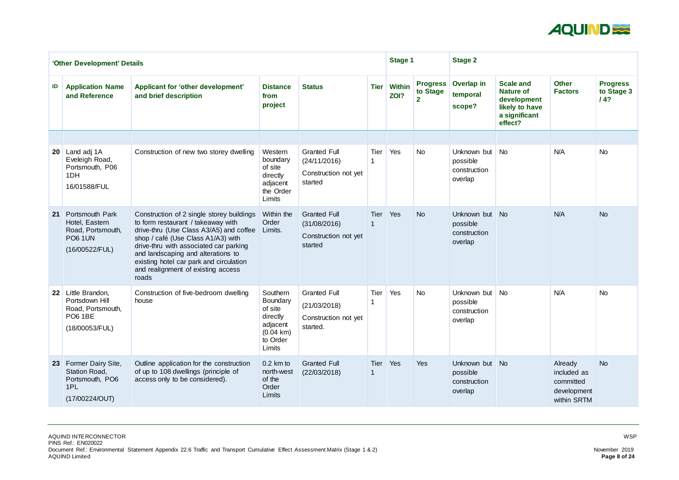

|                 | <b>Stage 1</b><br>'Other Development' Details                                                     |                                                                                                                                                                                                                                                                                                                                            |                                                                                                             |                                                                         |                            |                       |                                               | <b>Stage 2</b>                                        |                                                                                                   |                                                                   |                                      |
|-----------------|---------------------------------------------------------------------------------------------------|--------------------------------------------------------------------------------------------------------------------------------------------------------------------------------------------------------------------------------------------------------------------------------------------------------------------------------------------|-------------------------------------------------------------------------------------------------------------|-------------------------------------------------------------------------|----------------------------|-----------------------|-----------------------------------------------|-------------------------------------------------------|---------------------------------------------------------------------------------------------------|-------------------------------------------------------------------|--------------------------------------|
| ID              | <b>Application Name</b><br>and Reference                                                          | Applicant for 'other development'<br>and brief description                                                                                                                                                                                                                                                                                 | <b>Distance</b><br>from<br>project                                                                          | <b>Status</b>                                                           | <b>Tier</b>                | <b>Within</b><br>ZOI? | <b>Progress</b><br>to Stage<br>2 <sup>1</sup> | Overlap in<br>temporal<br>scope?                      | <b>Scale and</b><br><b>Nature of</b><br>development<br>likely to have<br>a significant<br>effect? | <b>Other</b><br><b>Factors</b>                                    | <b>Progress</b><br>to Stage 3<br>/4? |
|                 |                                                                                                   |                                                                                                                                                                                                                                                                                                                                            |                                                                                                             |                                                                         |                            |                       |                                               |                                                       |                                                                                                   |                                                                   |                                      |
|                 | 20 Land adj 1A<br>Eveleigh Road,<br>Portsmouth, P06<br>1DH<br>16/01588/FUL                        | Construction of new two storey dwelling                                                                                                                                                                                                                                                                                                    | Western<br>boundary<br>of site<br>directly<br>adjacent<br>the Order<br>Limits                               | <b>Granted Full</b><br>(24/11/2016)<br>Construction not yet<br>started  | <b>Tier</b>                | Yes                   | <b>No</b>                                     | Unknown but<br>possible<br>construction<br>overlap    | <b>No</b>                                                                                         | N/A                                                               | <b>No</b>                            |
| 21              | <b>Portsmouth Park</b><br>Hotel, Eastern<br>Road, Portsmouth,<br><b>PO6 1UN</b><br>(16/00522/FUL) | Construction of 2 single storey buildings<br>to form restaurant / takeaway with<br>drive-thru (Use Class A3/A5) and coffee<br>shop / café (Use Class A1/A3) with<br>drive-thru with associated car parking<br>and landscaping and alterations to<br>existing hotel car park and circulation<br>and realignment of existing access<br>roads | Within the<br>Order<br>Limits.                                                                              | <b>Granted Full</b><br>(31/08/2016)<br>Construction not yet<br>started  | <b>Tier</b><br>$\mathbf 1$ | Yes                   | <b>No</b>                                     | Unknown but<br>possible<br>construction<br>overlap    | $\blacksquare$ No                                                                                 | N/A                                                               | <b>No</b>                            |
| 22 <sup>2</sup> | Little Brandon,<br>Portsdown Hill<br>Road, Portsmouth,<br><b>PO6 1BE</b><br>(18/00053/FUL)        | Construction of five-bedroom dwelling<br>house                                                                                                                                                                                                                                                                                             | Southern<br><b>Boundary</b><br>of site<br>directly<br>adjacent<br>$(0.04 \text{ km})$<br>to Order<br>Limits | <b>Granted Full</b><br>(21/03/2018)<br>Construction not yet<br>started. | Tier                       | Yes                   | <b>No</b>                                     | Unknown but<br>possible<br>construction<br>overlap    | No                                                                                                | N/A                                                               | <b>No</b>                            |
| 23              | <b>Former Dairy Site,</b><br><b>Station Road,</b><br>Portsmouth, PO6<br>1PL<br>(17/00224/OUT)     | Outline application for the construction<br>of up to 108 dwellings (principle of<br>access only to be considered).                                                                                                                                                                                                                         | $0.2 \;$ km to<br>north-west<br>of the<br>Order<br>Limits                                                   | <b>Granted Full</b><br>(22/03/2018)                                     | Tier                       | Yes                   | Yes                                           | Unknown but No<br>possible<br>construction<br>overlap |                                                                                                   | Already<br>included as<br>committed<br>development<br>within SRTM | <b>No</b>                            |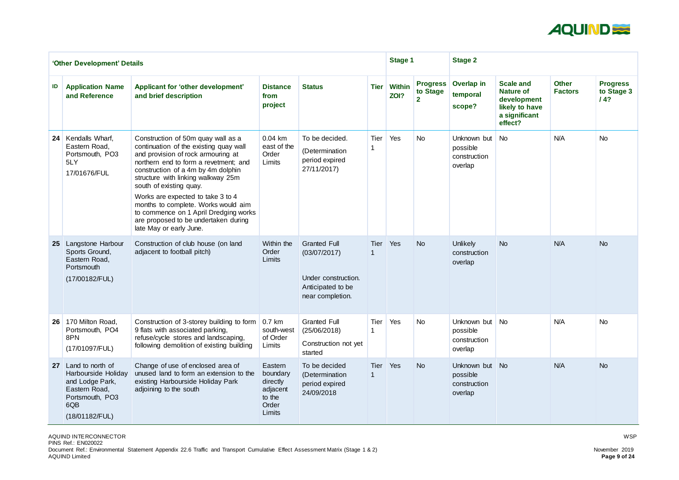

|                 | 'Other Development' Details                                                                                             |                                                                                                                                                                                                                                                                                                                                                                                                                                                            | <b>Stage 1</b>                                                           |                                                                                                     | <b>Stage 2</b> |                       |                                             |                                                       |                                                                                                   |                                |                                      |
|-----------------|-------------------------------------------------------------------------------------------------------------------------|------------------------------------------------------------------------------------------------------------------------------------------------------------------------------------------------------------------------------------------------------------------------------------------------------------------------------------------------------------------------------------------------------------------------------------------------------------|--------------------------------------------------------------------------|-----------------------------------------------------------------------------------------------------|----------------|-----------------------|---------------------------------------------|-------------------------------------------------------|---------------------------------------------------------------------------------------------------|--------------------------------|--------------------------------------|
| ID              | <b>Application Name</b><br>and Reference                                                                                | Applicant for 'other development'<br>and brief description                                                                                                                                                                                                                                                                                                                                                                                                 | <b>Distance</b><br>from<br>project                                       | <b>Status</b>                                                                                       | <b>Tier</b>    | <b>Within</b><br>ZOI? | <b>Progress</b><br>to Stage<br>$\mathbf{2}$ | Overlap in<br>temporal<br>scope?                      | <b>Scale and</b><br><b>Nature of</b><br>development<br>likely to have<br>a significant<br>effect? | <b>Other</b><br><b>Factors</b> | <b>Progress</b><br>to Stage 3<br>/4? |
| 24 <sub>1</sub> | Kendalls Wharf,<br>Eastern Road,<br>Portsmouth, PO3<br>5LY<br>17/01676/FUL                                              | Construction of 50m quay wall as a<br>continuation of the existing quay wall<br>and provision of rock armouring at<br>northern end to form a revetment; and<br>construction of a 4m by 4m dolphin<br>structure with linking walkway 25m<br>south of existing quay.<br>Works are expected to take 3 to 4<br>months to complete. Works would aim<br>to commence on 1 April Dredging works<br>are proposed to be undertaken during<br>late May or early June. | $0.04$ km<br>east of the<br>Order<br>Limits                              | To be decided.<br>(Determination<br>period expired<br>27/11/2017)                                   | Tier           | Yes                   | No                                          | Unknown but<br>possible<br>construction<br>overlap    | <b>No</b>                                                                                         | N/A                            | <b>No</b>                            |
| 25              | Langstone Harbour<br>Sports Ground,<br>Eastern Road,<br>Portsmouth<br>(17/00182/FUL)                                    | Construction of club house (on land<br>adjacent to football pitch)                                                                                                                                                                                                                                                                                                                                                                                         | Within the<br>Order<br>Limits                                            | <b>Granted Full</b><br>(03/07/2017)<br>Under construction.<br>Anticipated to be<br>near completion. | Tier           | Yes                   | <b>No</b>                                   | Unlikely<br>construction<br>overlap                   | <b>No</b>                                                                                         | N/A                            | <b>No</b>                            |
| 26 <sub>1</sub> | 170 Milton Road,<br>Portsmouth, PO4<br>8PN<br>(17/01097/FUL)                                                            | Construction of 3-storey building to form<br>9 flats with associated parking,<br>refuse/cycle stores and landscaping,<br>following demolition of existing building                                                                                                                                                                                                                                                                                         | $0.7$ km<br>south-west<br>of Order<br>Limits                             | <b>Granted Full</b><br>(25/06/2018)<br>Construction not yet<br>started                              | Tier           | Yes                   | <b>No</b>                                   | Unknown but No<br>possible<br>construction<br>overlap |                                                                                                   | N/A                            | <b>No</b>                            |
| 27 <sup>1</sup> | Land to north of<br>Harbourside Holiday<br>and Lodge Park,<br>Eastern Road,<br>Portsmouth, PO3<br>6QB<br>(18/01182/FUL) | Change of use of enclosed area of<br>unused land to form an extension to the<br>existing Harbourside Holiday Park<br>adjoining to the south                                                                                                                                                                                                                                                                                                                | Eastern<br>boundary<br>directly<br>adjacent<br>to the<br>Order<br>Limits | To be decided<br>(Determination<br>period expired<br>24/09/2018                                     | Tier           | Yes                   | <b>No</b>                                   | Unknown but No<br>possible<br>construction<br>overlap |                                                                                                   | N/A                            | <b>No</b>                            |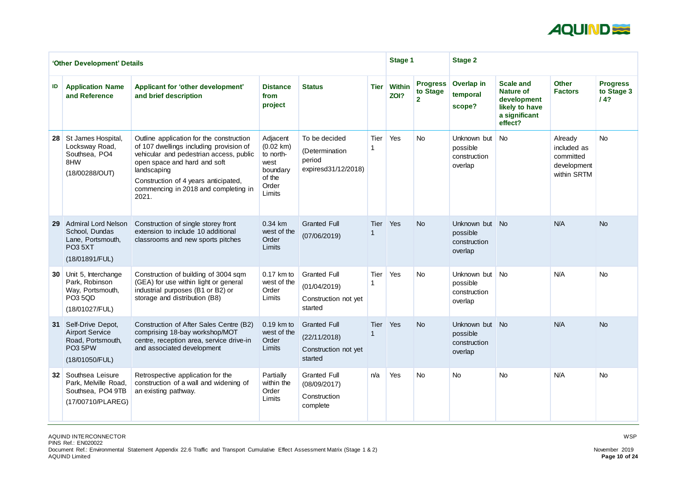

|                 | 'Other Development' Details                                                                                  |                                                                                                                                                                                                                                                                        | <b>Stage 1</b>                                                                                |                                                                        | <b>Stage 2</b> |                       |                                             |                                                       |                                                                                                   |                                                                   |                                      |
|-----------------|--------------------------------------------------------------------------------------------------------------|------------------------------------------------------------------------------------------------------------------------------------------------------------------------------------------------------------------------------------------------------------------------|-----------------------------------------------------------------------------------------------|------------------------------------------------------------------------|----------------|-----------------------|---------------------------------------------|-------------------------------------------------------|---------------------------------------------------------------------------------------------------|-------------------------------------------------------------------|--------------------------------------|
| ID              | <b>Application Name</b><br>and Reference                                                                     | Applicant for 'other development'<br>and brief description                                                                                                                                                                                                             | <b>Distance</b><br>from<br>project                                                            | <b>Status</b>                                                          | <b>Tier</b>    | <b>Within</b><br>ZOI? | <b>Progress</b><br>to Stage<br>$\mathbf{2}$ | Overlap in<br>temporal<br>scope?                      | <b>Scale and</b><br><b>Nature of</b><br>development<br>likely to have<br>a significant<br>effect? | <b>Other</b><br><b>Factors</b>                                    | <b>Progress</b><br>to Stage 3<br>14? |
| 28 <sub>1</sub> | St James Hospital,<br>Locksway Road,<br>Southsea, PO4<br>8HW<br>(18/00288/OUT)                               | Outline application for the construction<br>of 107 dwellings including provision of<br>vehicular and pedestrian access, public<br>open space and hard and soft<br>landscaping<br>Construction of 4 years anticipated,<br>commencing in 2018 and completing in<br>2021. | Adjacent<br>$(0.02 \text{ km})$<br>to north-<br>west<br>boundary<br>of the<br>Order<br>Limits | To be decided<br>(Determination<br>period<br>expiresd31/12/2018)       | <b>Tier</b>    | Yes                   | No                                          | Unknown but<br>possible<br>construction<br>overlap    | <b>No</b>                                                                                         | Already<br>included as<br>committed<br>development<br>within SRTM | <b>No</b>                            |
| 29              | <b>Admiral Lord Nelson</b><br>School, Dundas<br>Lane, Portsmouth,<br><b>PO3 5XT</b><br>(18/01891/FUL)        | Construction of single storey front<br>extension to include 10 additional<br>classrooms and new sports pitches                                                                                                                                                         | 0.34 km<br>west of the<br>Order<br>Limits                                                     | <b>Granted Full</b><br>(07/06/2019)                                    | <b>Tier</b>    | Yes                   | <b>No</b>                                   | Unknown but<br>possible<br>construction<br>overlap    | No                                                                                                | N/A                                                               | <b>No</b>                            |
| 30 <sup>°</sup> | Unit 5, Interchange<br>Park, Robinson<br>Way, Portsmouth,<br><b>PO3 5QD</b><br>(18/01027/FUL)                | Construction of building of 3004 sqm<br>(GEA) for use within light or general<br>industrial purposes (B1 or B2) or<br>storage and distribution (B8)                                                                                                                    | 0.17 km to<br>west of the<br>Order<br>Limits                                                  | <b>Granted Full</b><br>(01/04/2019)<br>Construction not yet<br>started | <b>Tier</b>    | Yes                   | <b>No</b>                                   | Unknown but<br>possible<br>construction<br>overlap    | <b>No</b>                                                                                         | N/A                                                               | <b>No</b>                            |
|                 | 31 Self-Drive Depot,<br><b>Airport Service</b><br>Road, Portsmouth,<br>PO <sub>3</sub> 5PW<br>(18/01050/FUL) | Construction of After Sales Centre (B2)<br>comprising 18-bay workshop/MOT<br>centre, reception area, service drive-in<br>and associated development                                                                                                                    | 0.19 km to<br>west of the<br>Order<br>Limits                                                  | <b>Granted Full</b><br>(22/11/2018)<br>Construction not yet<br>started | Tier           | <b>Yes</b>            | <b>No</b>                                   | Unknown but No<br>possible<br>construction<br>overlap |                                                                                                   | N/A                                                               | <b>No</b>                            |
|                 | 32 Southsea Leisure<br>Park, Melville Road,<br>Southsea, PO4 9TB<br>(17/00710/PLAREG)                        | Retrospective application for the<br>construction of a wall and widening of<br>an existing pathway.                                                                                                                                                                    | Partially<br>within the<br>Order<br>Limits                                                    | <b>Granted Full</b><br>(08/09/2017)<br>Construction<br>complete        | n/a            | Yes                   | <b>No</b>                                   | No                                                    | <b>No</b>                                                                                         | N/A                                                               | <b>No</b>                            |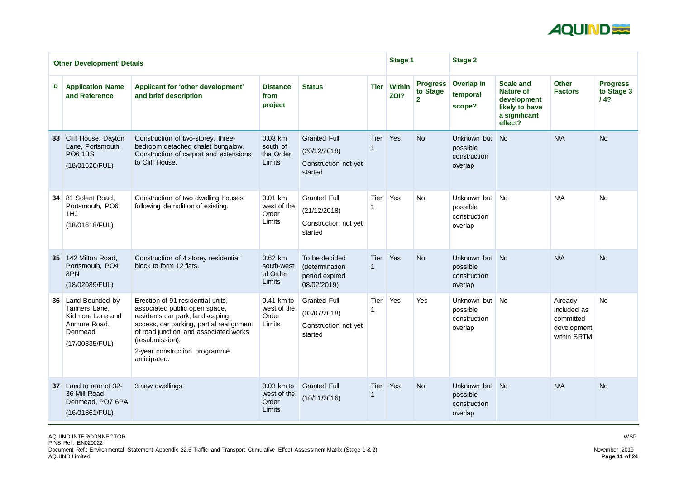

|                 | 'Other Development' Details                                                                          |                                                                                                                                                                                                                                                                 | <b>Stage 1</b>                                 |                                                                        | <b>Stage 2</b>             |                       |                                               |                                                       |                                                                                                   |                                                                   |                                      |
|-----------------|------------------------------------------------------------------------------------------------------|-----------------------------------------------------------------------------------------------------------------------------------------------------------------------------------------------------------------------------------------------------------------|------------------------------------------------|------------------------------------------------------------------------|----------------------------|-----------------------|-----------------------------------------------|-------------------------------------------------------|---------------------------------------------------------------------------------------------------|-------------------------------------------------------------------|--------------------------------------|
| ID              | <b>Application Name</b><br>and Reference                                                             | <b>Applicant for 'other development'</b><br>and brief description                                                                                                                                                                                               | <b>Distance</b><br>from<br>project             | <b>Status</b>                                                          | <b>Tier</b>                | <b>Within</b><br>ZOI? | <b>Progress</b><br>to Stage<br>$\overline{2}$ | Overlap in<br>temporal<br>scope?                      | <b>Scale and</b><br><b>Nature of</b><br>development<br>likely to have<br>a significant<br>effect? | <b>Other</b><br><b>Factors</b>                                    | <b>Progress</b><br>to Stage 3<br>14? |
| 33 <sup>°</sup> | Cliff House, Dayton<br>Lane, Portsmouth,<br><b>PO6 1BS</b><br>(18/01620/FUL)                         | Construction of two-storey, three-<br>bedroom detached chalet bungalow.<br>Construction of carport and extensions<br>to Cliff House.                                                                                                                            | 0.03 km<br>south of<br>the Order<br>Limits     | <b>Granted Full</b><br>(20/12/2018)<br>Construction not yet<br>started | <b>Tier</b>                | Yes                   | <b>No</b>                                     | Unknown but<br>possible<br>construction<br>overlap    | <b>No</b>                                                                                         | N/A                                                               | <b>No</b>                            |
|                 | 34 81 Solent Road,<br>Portsmouth, PO6<br>1HJ<br>(18/01618/FUL)                                       | Construction of two dwelling houses<br>following demolition of existing.                                                                                                                                                                                        | 0.01 km<br>west of the<br>Order<br>Limits      | <b>Granted Full</b><br>(21/12/2018)<br>Construction not yet<br>started | Tier                       | Yes                   | <b>No</b>                                     | Unknown but<br>possible<br>construction<br>overlap    | <b>No</b>                                                                                         | N/A                                                               | <b>No</b>                            |
| 35              | 142 Milton Road,<br>Portsmouth, PO4<br>8PN<br>(18/02089/FUL)                                         | Construction of 4 storey residential<br>block to form 12 flats.                                                                                                                                                                                                 | 0.62 km<br>south-west<br>of Order<br>Limits    | To be decided<br>(determination<br>period expired<br>08/02/2019)       | <b>Tier</b><br>$\mathbf 1$ | Yes                   | <b>No</b>                                     | Unknown but<br>possible<br>construction<br>overlap    | <b>No</b>                                                                                         | N/A                                                               | <b>No</b>                            |
|                 | 36 Land Bounded by<br>Tanners Lane,<br>Kidmore Lane and<br>Anmore Road,<br>Denmead<br>(17/00335/FUL) | Erection of 91 residential units,<br>associated public open space,<br>residents car park, landscaping,<br>access, car parking, partial realignment<br>of road junction and associated works<br>(resubmission).<br>2-year construction programme<br>anticipated. | $0.41$ km to<br>west of the<br>Order<br>Limits | <b>Granted Full</b><br>(03/07/2018)<br>Construction not yet<br>started | <b>Tier</b>                | Yes                   | Yes                                           | Unknown but<br>possible<br>construction<br>overlap    | <b>No</b>                                                                                         | Already<br>included as<br>committed<br>development<br>within SRTM | <b>No</b>                            |
| 37 <sup>1</sup> | Land to rear of 32-<br>36 Mill Road,<br>Denmead, PO7 6PA<br>(16/01861/FUL)                           | 3 new dwellings                                                                                                                                                                                                                                                 | 0.03 km to<br>west of the<br>Order<br>Limits   | <b>Granted Full</b><br>(10/11/2016)                                    | Tier Yes                   |                       | <b>No</b>                                     | Unknown but No<br>possible<br>construction<br>overlap |                                                                                                   | N/A                                                               | <b>No</b>                            |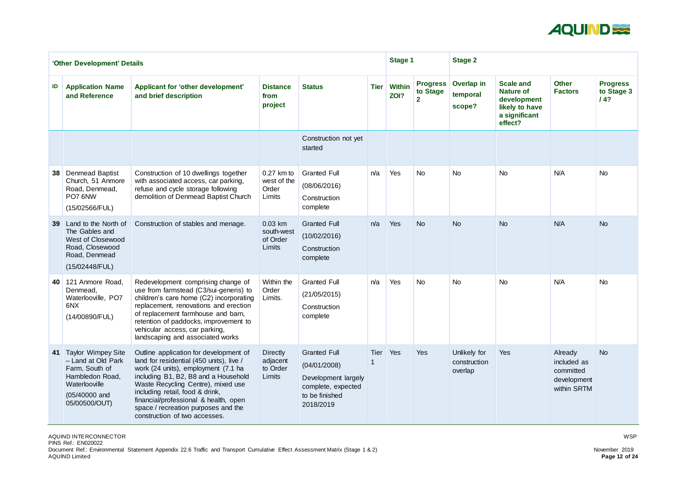

|                 | 'Other Development' Details                                                                                                               |                                                                                                                                                                                                                                                                                                                                                             |                                                   |                                                                                                                 |             | <b>Stage 1</b>        |                                               | <b>Stage 2</b>                          |                                                                                                   |                                                                   |                                      |
|-----------------|-------------------------------------------------------------------------------------------------------------------------------------------|-------------------------------------------------------------------------------------------------------------------------------------------------------------------------------------------------------------------------------------------------------------------------------------------------------------------------------------------------------------|---------------------------------------------------|-----------------------------------------------------------------------------------------------------------------|-------------|-----------------------|-----------------------------------------------|-----------------------------------------|---------------------------------------------------------------------------------------------------|-------------------------------------------------------------------|--------------------------------------|
| ID              | <b>Application Name</b><br>and Reference                                                                                                  | <b>Applicant for 'other development'</b><br>and brief description                                                                                                                                                                                                                                                                                           | <b>Distance</b><br>from<br>project                | <b>Status</b>                                                                                                   | <b>Tier</b> | <b>Within</b><br>ZOI? | <b>Progress</b><br>to Stage<br>$\overline{2}$ | Overlap in<br>temporal<br>scope?        | <b>Scale and</b><br><b>Nature of</b><br>development<br>likely to have<br>a significant<br>effect? | <b>Other</b><br><b>Factors</b>                                    | <b>Progress</b><br>to Stage 3<br>14? |
|                 |                                                                                                                                           |                                                                                                                                                                                                                                                                                                                                                             |                                                   | Construction not yet<br>started                                                                                 |             |                       |                                               |                                         |                                                                                                   |                                                                   |                                      |
| 38 <sup>°</sup> | <b>Denmead Baptist</b><br>Church, 51 Anmore<br>Road, Denmead,<br>PO7 6NW<br>(15/02566/FUL)                                                | Construction of 10 dwellings together<br>with associated access, car parking,<br>refuse and cycle storage following<br>demolition of Denmead Baptist Church                                                                                                                                                                                                 | $0.27$ km to<br>west of the<br>Order<br>Limits    | <b>Granted Full</b><br>(08/06/2016)<br>Construction<br>complete                                                 | n/a         | Yes                   | <b>No</b>                                     | <b>No</b>                               | <b>No</b>                                                                                         | N/A                                                               | <b>No</b>                            |
| 39 <sup>°</sup> | Land to the North of<br>The Gables and<br><b>West of Closewood</b><br>Road, Closewood<br>Road, Denmead<br>(15/02448/FUL)                  | Construction of stables and menage.                                                                                                                                                                                                                                                                                                                         | 0.03 km<br>south-west<br>of Order<br>Limits       | <b>Granted Full</b><br>(10/02/2016)<br>Construction<br>complete                                                 | n/a         | Yes                   | <b>No</b>                                     | <b>No</b>                               | <b>No</b>                                                                                         | N/A                                                               | <b>No</b>                            |
| <b>40</b>       | 121 Anmore Road,<br>Denmead,<br>Waterlooville, PO7<br>6NX<br>(14/00890/FUL)                                                               | Redevelopment comprising change of<br>use from farmstead (C3/sui-generis) to<br>children's care home (C2) incorporating<br>replacement, renovations and erection<br>of replacement farmhouse and barn,<br>retention of paddocks, improvement to<br>vehicular access, car parking,<br>landscaping and associated works                                       | Within the<br>Order<br>Limits.                    | <b>Granted Full</b><br>(21/05/2015)<br>Construction<br>complete                                                 | n/a         | Yes                   | <b>No</b>                                     | <b>No</b>                               | <b>No</b>                                                                                         | N/A                                                               | <b>No</b>                            |
| 41              | <b>Taylor Wimpey Site</b><br>- Land at Old Park<br>Farm, South of<br>Hambledon Road,<br>Waterlooville<br>$(05/40000$ and<br>05/00500/OUT) | Outline application for development of<br>land for residential (450 units), live /<br>work (24 units), employment (7.1 ha<br>including B1, B2, B8 and a Household<br>Waste Recycling Centre), mixed use<br>including retail, food & drink,<br>financial/professional & health, open<br>space / recreation purposes and the<br>construction of two accesses. | <b>Directly</b><br>adjacent<br>to Order<br>Limits | <b>Granted Full</b><br>(04/01/2008)<br>Development largely<br>complete, expected<br>to be finished<br>2018/2019 | Tier        | <b>Yes</b>            | Yes                                           | Unlikely for<br>construction<br>overlap | Yes                                                                                               | Already<br>included as<br>committed<br>development<br>within SRTM | <b>No</b>                            |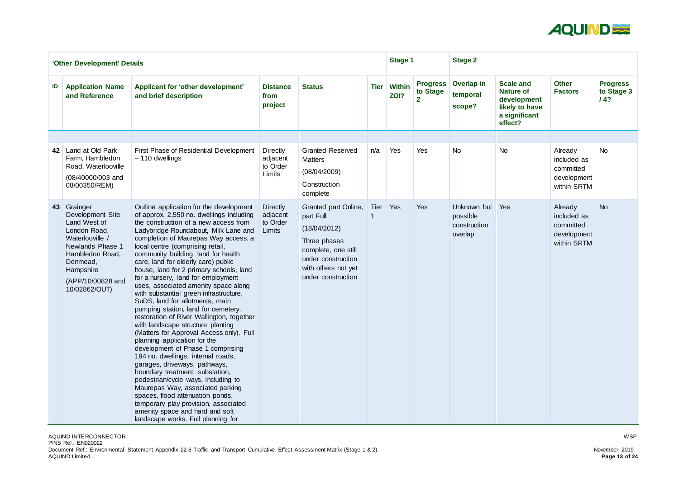

| <b>Scale and</b><br><b>Nature of</b><br>development<br>likely to have<br>a significant<br>effect? | <b>Other</b><br><b>Factors</b>                                    | <b>Progress</b><br>to Stage 3<br>14? |
|---------------------------------------------------------------------------------------------------|-------------------------------------------------------------------|--------------------------------------|
|                                                                                                   |                                                                   |                                      |
| No                                                                                                | Already<br>included as<br>committed<br>development<br>within SRTM | No                                   |
| Yes                                                                                               | Already<br>included as<br>committed<br>development<br>within SRTM | <b>No</b>                            |

|    | 'Other Development' Details                                                                                                                                                           |                                                                                                                                                                                                                                                                                                                                                                                                                                                                                                                                                                                                                                                                                                                                                                                                                                                                                                                                                                                                                                                                                                                          |                                                   |                                                                                                                                                             |             | Stage 1               |                                               | <b>Stage 2</b>                                     |                                                                                                   |                                                       |
|----|---------------------------------------------------------------------------------------------------------------------------------------------------------------------------------------|--------------------------------------------------------------------------------------------------------------------------------------------------------------------------------------------------------------------------------------------------------------------------------------------------------------------------------------------------------------------------------------------------------------------------------------------------------------------------------------------------------------------------------------------------------------------------------------------------------------------------------------------------------------------------------------------------------------------------------------------------------------------------------------------------------------------------------------------------------------------------------------------------------------------------------------------------------------------------------------------------------------------------------------------------------------------------------------------------------------------------|---------------------------------------------------|-------------------------------------------------------------------------------------------------------------------------------------------------------------|-------------|-----------------------|-----------------------------------------------|----------------------------------------------------|---------------------------------------------------------------------------------------------------|-------------------------------------------------------|
| ID | <b>Application Name</b><br>and Reference                                                                                                                                              | <b>Applicant for 'other development'</b><br>and brief description                                                                                                                                                                                                                                                                                                                                                                                                                                                                                                                                                                                                                                                                                                                                                                                                                                                                                                                                                                                                                                                        | <b>Distance</b><br>from<br>project                | <b>Status</b>                                                                                                                                               | <b>Tier</b> | <b>Within</b><br>ZOI? | <b>Progress</b><br>to Stage<br>$\overline{2}$ | <b>Overlap in</b><br>temporal<br>scope?            | <b>Scale and</b><br><b>Nature of</b><br>development<br>likely to have<br>a significant<br>effect? | <b>Other</b><br><b>Factors</b>                        |
|    |                                                                                                                                                                                       |                                                                                                                                                                                                                                                                                                                                                                                                                                                                                                                                                                                                                                                                                                                                                                                                                                                                                                                                                                                                                                                                                                                          |                                                   |                                                                                                                                                             |             |                       |                                               |                                                    |                                                                                                   |                                                       |
| 42 | Land at Old Park<br>Farm, Hambledon<br>Road, Waterlooville<br>(08/40000/003 and<br>08/00350/REM)                                                                                      | First Phase of Residential Development<br>$-110$ dwellings                                                                                                                                                                                                                                                                                                                                                                                                                                                                                                                                                                                                                                                                                                                                                                                                                                                                                                                                                                                                                                                               | <b>Directly</b><br>adjacent<br>to Order<br>Limits | <b>Granted Reserved</b><br><b>Matters</b><br>(08/04/2009)<br>Construction<br>complete                                                                       | n/a         | Yes                   | Yes                                           | <b>No</b>                                          | <b>No</b>                                                                                         | Already<br>included<br>committ<br>develop<br>within S |
| 43 | Grainger<br>Development Site<br>Land West of<br>London Road,<br>Waterlooville /<br>Newlands Phase 1<br>Hambledon Road,<br>Denmead,<br>Hampshire<br>(APP/10/00828 and<br>10/02862/OUT) | Outline application for the development<br>of approx. 2,550 no. dwellings including<br>the construction of a new access from<br>Ladybridge Roundabout, Milk Lane and<br>completion of Maurepas Way access, a<br>local centre (comprising retail,<br>community building, land for health<br>care, land for elderly care) public<br>house, land for 2 primary schools, land<br>for a nursery, land for employment<br>uses, associated amenity space along<br>with substantial green infrastructure,<br>SuDS, land for allotments, main<br>pumping station, land for cemetery,<br>restoration of River Wallington, together<br>with landscape structure planting<br>(Matters for Approval Access only). Full<br>planning application for the<br>development of Phase 1 comprising<br>194 no. dwellings, internal roads,<br>garages, driveways, pathways,<br>boundary treatment, substation,<br>pedestrian/cycle ways, including to<br>Maurepas Way, associated parking<br>spaces, flood attenuation ponds,<br>temporary play provision, associated<br>amenity space and hard and soft<br>landscape works. Full planning for | <b>Directly</b><br>adjacent<br>to Order<br>Limits | Granted part Online,<br>part Full<br>(18/04/2012)<br>Three phases<br>complete, one still<br>under construction<br>with others not yet<br>under construction | Tier        | Yes                   | Yes                                           | Unknown but<br>possible<br>construction<br>overlap | Yes                                                                                               | Already<br>included<br>committ<br>develop<br>within S |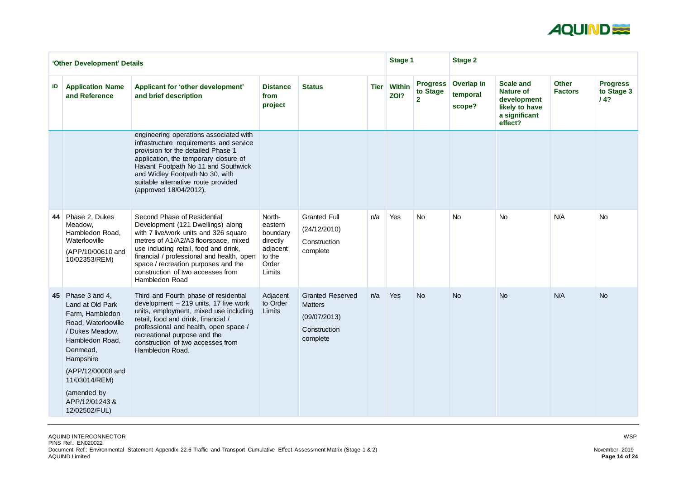

|    | 'Other Development' Details                                                                                                                                                                                                                  |                                                                                                                                                                                                                                                                                                                                       |                                                                                    |                                                                                       |             | <b>Stage 1</b>        |                                               | <b>Stage 2</b>                   |                                                                                                   |                                |                                      |
|----|----------------------------------------------------------------------------------------------------------------------------------------------------------------------------------------------------------------------------------------------|---------------------------------------------------------------------------------------------------------------------------------------------------------------------------------------------------------------------------------------------------------------------------------------------------------------------------------------|------------------------------------------------------------------------------------|---------------------------------------------------------------------------------------|-------------|-----------------------|-----------------------------------------------|----------------------------------|---------------------------------------------------------------------------------------------------|--------------------------------|--------------------------------------|
| ID | <b>Application Name</b><br>and Reference                                                                                                                                                                                                     | Applicant for 'other development'<br>and brief description                                                                                                                                                                                                                                                                            | <b>Distance</b><br>from<br>project                                                 | <b>Status</b>                                                                         | <b>Tier</b> | <b>Within</b><br>ZOI? | <b>Progress</b><br>to Stage<br>2 <sup>1</sup> | Overlap in<br>temporal<br>scope? | <b>Scale and</b><br><b>Nature of</b><br>development<br>likely to have<br>a significant<br>effect? | <b>Other</b><br><b>Factors</b> | <b>Progress</b><br>to Stage 3<br>14? |
|    |                                                                                                                                                                                                                                              | engineering operations associated with<br>infrastructure requirements and service<br>provision for the detailed Phase 1<br>application, the temporary closure of<br>Havant Footpath No 11 and Southwick<br>and Widley Footpath No 30, with<br>suitable alternative route provided<br>(approved 18/04/2012).                           |                                                                                    |                                                                                       |             |                       |                                               |                                  |                                                                                                   |                                |                                      |
|    | 44 Phase 2, Dukes<br>Meadow,<br>Hambledon Road,<br>Waterlooville<br>(APP/10/00610 and<br>10/02353/REM)                                                                                                                                       | Second Phase of Residential<br>Development (121 Dwellings) along<br>with 7 live/work units and 326 square<br>metres of A1/A2/A3 floorspace, mixed<br>use including retail, food and drink,<br>financial / professional and health, open<br>space / recreation purposes and the<br>construction of two accesses from<br>Hambledon Road | North-<br>eastern<br>boundary<br>directly<br>adjacent<br>to the<br>Order<br>Limits | <b>Granted Full</b><br>(24/12/2010)<br>Construction<br>complete                       | n/a         | Yes                   | <b>No</b>                                     | <b>No</b>                        | <b>No</b>                                                                                         | N/A                            | <b>No</b>                            |
|    | <b>45</b> Phase 3 and 4,<br>Land at Old Park<br>Farm, Hambledon<br>Road, Waterlooville<br>/ Dukes Meadow,<br>Hambledon Road,<br>Denmead,<br>Hampshire<br>(APP/12/00008 and<br>11/03014/REM)<br>(amended by<br>APP/12/01243&<br>12/02502/FUL) | Third and Fourth phase of residential<br>development - 219 units, 17 live work<br>units, employment, mixed use including<br>retail, food and drink, financial /<br>professional and health, open space /<br>recreational purpose and the<br>construction of two accesses from<br>Hambledon Road.                                      | Adjacent<br>to Order<br>Limits                                                     | <b>Granted Reserved</b><br><b>Matters</b><br>(09/07/2013)<br>Construction<br>complete | n/a         | Yes                   | <b>No</b>                                     | <b>No</b>                        | <b>No</b>                                                                                         | N/A                            | <b>No</b>                            |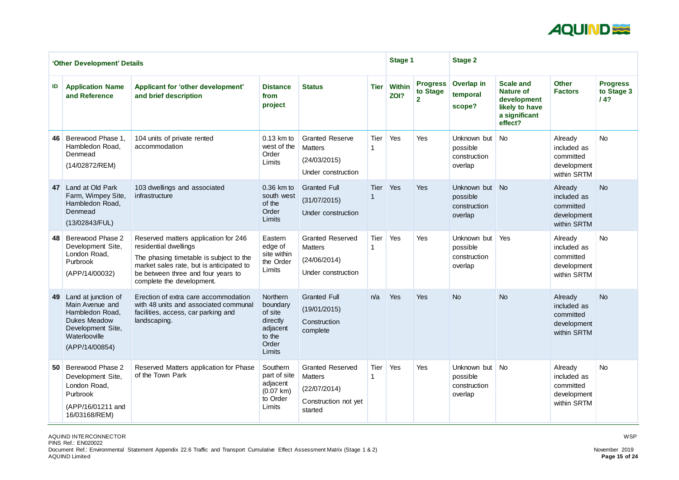

|    | 'Other Development' Details                                                                                                              |                                                                                                                                                                                                                         |                                                                                      |                                                                                              |             | <b>Stage 1</b>        |                                               | <b>Stage 2</b>                                        |                                                                                                   |                                                                   |                                      |
|----|------------------------------------------------------------------------------------------------------------------------------------------|-------------------------------------------------------------------------------------------------------------------------------------------------------------------------------------------------------------------------|--------------------------------------------------------------------------------------|----------------------------------------------------------------------------------------------|-------------|-----------------------|-----------------------------------------------|-------------------------------------------------------|---------------------------------------------------------------------------------------------------|-------------------------------------------------------------------|--------------------------------------|
| ID | <b>Application Name</b><br>and Reference                                                                                                 | <b>Applicant for 'other development'</b><br>and brief description                                                                                                                                                       | <b>Distance</b><br>from<br>project                                                   | <b>Status</b>                                                                                | <b>Tier</b> | <b>Within</b><br>ZOI? | <b>Progress</b><br>to Stage<br>$\overline{2}$ | Overlap in<br>temporal<br>scope?                      | <b>Scale and</b><br><b>Nature of</b><br>development<br>likely to have<br>a significant<br>effect? | <b>Other</b><br><b>Factors</b>                                    | <b>Progress</b><br>to Stage 3<br>14? |
| 46 | Berewood Phase 1,<br>Hambledon Road,<br>Denmead<br>(14/02872/REM)                                                                        | 104 units of private rented<br>accommodation                                                                                                                                                                            | $0.13$ km to<br>west of the<br>Order<br>Limits                                       | <b>Granted Reserve</b><br><b>Matters</b><br>(24/03/2015)<br>Under construction               | Tier        | Yes                   | Yes                                           | Unknown but<br>possible<br>construction<br>overlap    | <b>No</b>                                                                                         | Already<br>included as<br>committed<br>development<br>within SRTM | <b>No</b>                            |
| 47 | Land at Old Park<br>Farm, Wimpey Site,<br>Hambledon Road,<br>Denmead<br>(13/02843/FUL)                                                   | 103 dwellings and associated<br>infrastructure                                                                                                                                                                          | 0.36 km to<br>south west<br>of the<br>Order<br>Limits                                | <b>Granted Full</b><br>(31/07/2015)<br>Under construction                                    | <b>Tier</b> | Yes                   | Yes                                           | Unknown but No<br>possible<br>construction<br>overlap |                                                                                                   | Already<br>included as<br>committed<br>development<br>within SRTM | <b>No</b>                            |
| 48 | <b>Berewood Phase 2</b><br>Development Site,<br>London Road,<br>Purbrook<br>(APP/14/00032)                                               | Reserved matters application for 246<br>residential dwellings<br>The phasing timetable is subject to the<br>market sales rate, but is anticipated to<br>be between three and four years to<br>complete the development. | Eastern<br>edge of<br>site within<br>the Order<br>Limits                             | <b>Granted Reserved</b><br><b>Matters</b><br>(24/06/2014)<br>Under construction              | Tier        | Yes                   | Yes                                           | Unknown but<br>possible<br>construction<br>overlap    | Yes                                                                                               | Already<br>included as<br>committed<br>development<br>within SRTM | <b>No</b>                            |
| 49 | Land at junction of<br>Main Avenue and<br>Hambledon Road,<br><b>Dukes Meadow</b><br>Development Site,<br>Waterlooville<br>(APP/14/00854) | Erection of extra care accommodation<br>with 48 units and associated communal<br>facilities, access, car parking and<br>landscaping.                                                                                    | Northern<br>boundary<br>of site<br>directly<br>adjacent<br>to the<br>Order<br>Limits | <b>Granted Full</b><br>(19/01/2015)<br>Construction<br>complete                              | n/a         | Yes                   | Yes                                           | <b>No</b>                                             | <b>No</b>                                                                                         | Already<br>included as<br>committed<br>development<br>within SRTM | <b>No</b>                            |
|    | 50 Berewood Phase 2<br>Development Site,<br>London Road,<br>Purbrook<br>(APP/16/01211 and<br>16/03168/REM)                               | Reserved Matters application for Phase<br>of the Town Park                                                                                                                                                              | Southern<br>part of site<br>adjacent<br>$(0.07 \text{ km})$<br>to Order<br>Limits    | <b>Granted Reserved</b><br><b>Matters</b><br>(22/07/2014)<br>Construction not yet<br>started | Tier        | Yes                   | Yes                                           | Unknown but<br>possible<br>construction<br>overlap    | <b>No</b>                                                                                         | Already<br>included as<br>committed<br>development<br>within SRTM | <b>No</b>                            |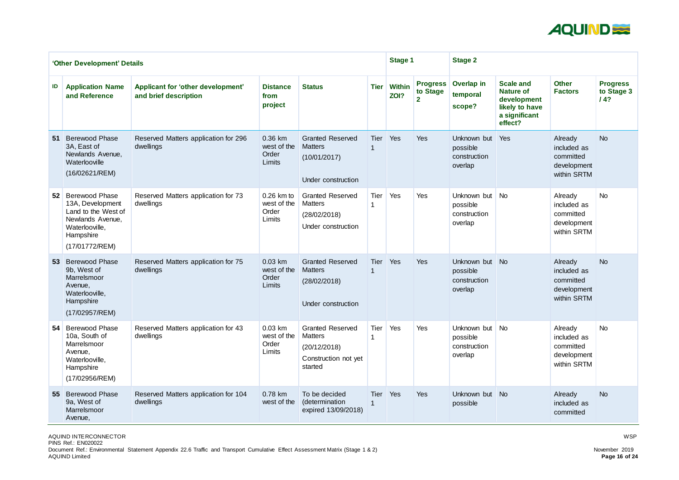

|                 | 'Other Development' Details                                                                                                       |                                                            |                                              |                                                                                              | <b>Stage 1</b>      |                       | <b>Stage 2</b>                                |                                                       |                                                                                                   |                                                                   |                                      |
|-----------------|-----------------------------------------------------------------------------------------------------------------------------------|------------------------------------------------------------|----------------------------------------------|----------------------------------------------------------------------------------------------|---------------------|-----------------------|-----------------------------------------------|-------------------------------------------------------|---------------------------------------------------------------------------------------------------|-------------------------------------------------------------------|--------------------------------------|
| ID              | <b>Application Name</b><br>and Reference                                                                                          | Applicant for 'other development'<br>and brief description | <b>Distance</b><br>from<br>project           | <b>Status</b>                                                                                | <b>Tier</b>         | <b>Within</b><br>ZOI? | <b>Progress</b><br>to Stage<br>$\overline{2}$ | Overlap in<br>temporal<br>scope?                      | <b>Scale and</b><br><b>Nature of</b><br>development<br>likely to have<br>a significant<br>effect? | <b>Other</b><br><b>Factors</b>                                    | <b>Progress</b><br>to Stage 3<br>14? |
| 51              | <b>Berewood Phase</b><br>3A, East of<br>Newlands Avenue,<br>Waterlooville<br>(16/02621/REM)                                       | Reserved Matters application for 296<br>dwellings          | 0.36 km<br>west of the<br>Order<br>Limits    | <b>Granted Reserved</b><br><b>Matters</b><br>(10/01/2017)<br>Under construction              | <b>Tier</b>         | Yes                   | Yes                                           | Unknown but<br>possible<br>construction<br>overlap    | Yes                                                                                               | Already<br>included as<br>committed<br>development<br>within SRTM | <b>No</b>                            |
|                 | 52 Berewood Phase<br>13A, Development<br>Land to the West of<br>Newlands Avenue,<br>Waterlooville,<br>Hampshire<br>(17/01772/REM) | Reserved Matters application for 73<br>dwellings           | 0.26 km to<br>west of the<br>Order<br>Limits | <b>Granted Reserved</b><br><b>Matters</b><br>(28/02/2018)<br>Under construction              | Tier                | Yes                   | Yes                                           | Unknown but<br>possible<br>construction<br>overlap    | <b>No</b>                                                                                         | Already<br>included as<br>committed<br>development<br>within SRTM | <b>No</b>                            |
| 53 <sup>°</sup> | <b>Berewood Phase</b><br>9b, West of<br>Marrelsmoor<br>Avenue,<br>Waterlooville,<br>Hampshire<br>(17/02957/REM)                   | Reserved Matters application for 75<br>dwellings           | 0.03 km<br>west of the<br>Order<br>Limits    | <b>Granted Reserved</b><br><b>Matters</b><br>(28/02/2018)<br>Under construction              | <b>Tier</b>         | Yes                   | <b>Yes</b>                                    | Unknown but<br>possible<br>construction<br>overlap    | <b>No</b>                                                                                         | Already<br>included as<br>committed<br>development<br>within SRTM | <b>No</b>                            |
|                 | 54 Berewood Phase<br>10a, South of<br>Marrelsmoor<br>Avenue,<br>Waterlooville,<br>Hampshire<br>(17/02956/REM)                     | Reserved Matters application for 43<br>dwellings           | 0.03 km<br>west of the<br>Order<br>Limits    | <b>Granted Reserved</b><br><b>Matters</b><br>(20/12/2018)<br>Construction not yet<br>started | Tier                | Yes                   | Yes                                           | Unknown but No<br>possible<br>construction<br>overlap |                                                                                                   | Already<br>included as<br>committed<br>development<br>within SRTM | <b>No</b>                            |
| 55 <sub>1</sub> | <b>Berewood Phase</b><br>9a, West of<br>Marrelsmoor<br>Avenue,                                                                    | Reserved Matters application for 104<br>dwellings          | 0.78 km<br>west of the                       | To be decided<br>(determination<br>expired 13/09/2018)                                       | Tier<br>$\mathbf 1$ | <b>Yes</b>            | <b>Yes</b>                                    | Unknown but<br>possible                               | N <sub>o</sub>                                                                                    | Already<br>included as<br>committed                               | <b>No</b>                            |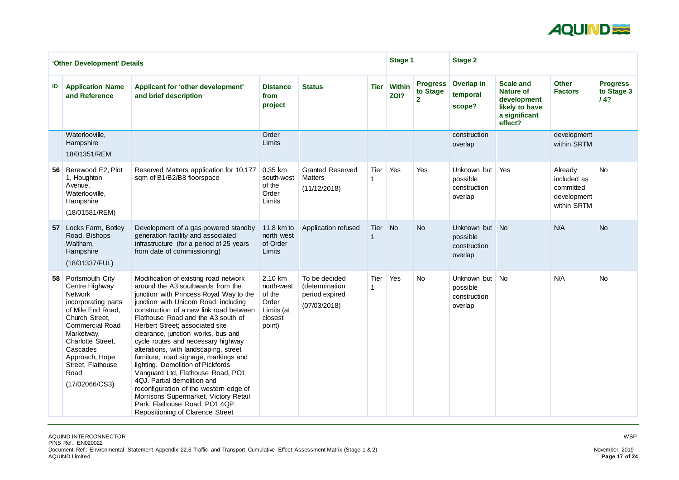

|                 | 'Other Development' Details                                                                                                                                                                                                                                 |                                                                                                                                                                                                                                                                                                                                                                                                                                                                                                                                                                                                                                                                                                                           |                                                                             |                                                                   |             | <b>Stage 1</b>        |                                               | <b>Stage 2</b>                                     |                                                                                                   |                                                                   |                                      |
|-----------------|-------------------------------------------------------------------------------------------------------------------------------------------------------------------------------------------------------------------------------------------------------------|---------------------------------------------------------------------------------------------------------------------------------------------------------------------------------------------------------------------------------------------------------------------------------------------------------------------------------------------------------------------------------------------------------------------------------------------------------------------------------------------------------------------------------------------------------------------------------------------------------------------------------------------------------------------------------------------------------------------------|-----------------------------------------------------------------------------|-------------------------------------------------------------------|-------------|-----------------------|-----------------------------------------------|----------------------------------------------------|---------------------------------------------------------------------------------------------------|-------------------------------------------------------------------|--------------------------------------|
| ID              | <b>Application Name</b><br>and Reference                                                                                                                                                                                                                    | Applicant for 'other development'<br>and brief description                                                                                                                                                                                                                                                                                                                                                                                                                                                                                                                                                                                                                                                                | <b>Distance</b><br>from<br>project                                          | <b>Status</b>                                                     | <b>Tier</b> | <b>Within</b><br>ZOI? | <b>Progress</b><br>to Stage<br>$\overline{2}$ | Overlap in<br>temporal<br>scope?                   | <b>Scale and</b><br><b>Nature of</b><br>development<br>likely to have<br>a significant<br>effect? | <b>Other</b><br><b>Factors</b>                                    | <b>Progress</b><br>to Stage 3<br>14? |
|                 | Waterlooville,<br>Hampshire<br>18/01351/REM                                                                                                                                                                                                                 |                                                                                                                                                                                                                                                                                                                                                                                                                                                                                                                                                                                                                                                                                                                           | Order<br>Limits                                                             |                                                                   |             |                       |                                               | construction<br>overlap                            |                                                                                                   | development<br>within SRTM                                        |                                      |
| 56              | Berewood E2, Plot<br>1, Houghton<br>Avenue,<br>Waterlooville,<br>Hampshire<br>(18/01581/REM)                                                                                                                                                                | Reserved Matters application for 10,177<br>sqm of B1/B2/B8 floorspace                                                                                                                                                                                                                                                                                                                                                                                                                                                                                                                                                                                                                                                     | 0.35 km<br>south-west<br>of the<br>Order<br>Limits                          | <b>Granted Reserved</b><br><b>Matters</b><br>(11/12/2018)         | Tier        | Yes                   | Yes                                           | Unknown but<br>possible<br>construction<br>overlap | Yes                                                                                               | Already<br>included as<br>committed<br>development<br>within SRTM | <b>No</b>                            |
| 57 <sub>2</sub> | Locks Farm, Botley<br>Road, Bishops<br>Waltham,<br>Hampshire<br>(18/01337/FUL)                                                                                                                                                                              | Development of a gas powered standby<br>generation facility and associated<br>infrastructure (for a period of 25 years)<br>from date of commissioning)                                                                                                                                                                                                                                                                                                                                                                                                                                                                                                                                                                    | 11.8 km to<br>north west<br>of Order<br>Limits                              | Application refused                                               | Tier        | <b>No</b>             | <b>No</b>                                     | Unknown but<br>possible<br>construction<br>overlap | No                                                                                                | N/A                                                               | <b>No</b>                            |
| 58              | Portsmouth City<br>Centre Highway<br><b>Network</b><br>incorporating parts<br>of Mile End Road,<br>Church Street,<br><b>Commercial Road</b><br>Marketway,<br>Charlotte Street,<br>Cascades<br>Approach, Hope<br>Street, Flathouse<br>Road<br>(17/02066/CS3) | Modification of existing road network<br>around the A3 southwards from the<br>junction with Princess Royal Way to the<br>junction with Unicorn Road, including<br>construction of a new link road between<br>Flathouse Road and the A3 south of<br>Herbert Street; associated site<br>clearance, junction works, bus and<br>cycle routes and necessary highway<br>alterations, with landscaping, street<br>furniture, road signage, markings and<br>lighting. Demolition of Pickfords<br>Vanguard Ltd, Flathouse Road, PO1<br>4QJ. Partial demolition and<br>reconfiguration of the western edge of<br>Morrisons Supermarket, Victory Retail<br>Park, Flathouse Road, PO1 4QP.<br><b>Repositioning of Clarence Street</b> | 2.10 km<br>north-west<br>of the<br>Order<br>Limits (at<br>closest<br>point) | To be decided<br>(determination<br>period expired<br>(07/03/2018) | Tier        | Yes                   | <b>No</b>                                     | Unknown but<br>possible<br>construction<br>overlap | No                                                                                                | N/A                                                               | <b>No</b>                            |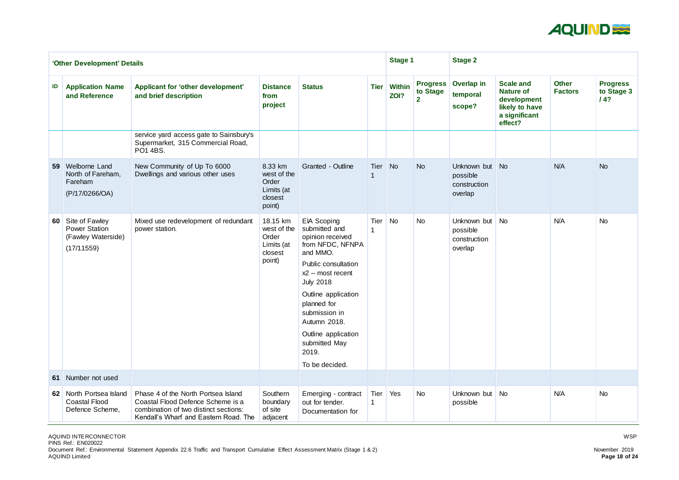

|    | 'Other Development' Details                                                   |                                                                                                                                                            |                                                                     |                                                                                                                                                                                                                                                                                                           |             | <b>Stage 1</b>        |                                               | <b>Stage 2</b>                                     |                                                                                                   |                                |                                      |
|----|-------------------------------------------------------------------------------|------------------------------------------------------------------------------------------------------------------------------------------------------------|---------------------------------------------------------------------|-----------------------------------------------------------------------------------------------------------------------------------------------------------------------------------------------------------------------------------------------------------------------------------------------------------|-------------|-----------------------|-----------------------------------------------|----------------------------------------------------|---------------------------------------------------------------------------------------------------|--------------------------------|--------------------------------------|
| ID | <b>Application Name</b><br>and Reference                                      | Applicant for 'other development'<br>and brief description                                                                                                 | <b>Distance</b><br>from<br>project                                  | <b>Status</b>                                                                                                                                                                                                                                                                                             | <b>Tier</b> | <b>Within</b><br>ZOI? | <b>Progress</b><br>to Stage<br>2 <sup>1</sup> | <b>Overlap in</b><br>temporal<br>scope?            | <b>Scale and</b><br><b>Nature of</b><br>development<br>likely to have<br>a significant<br>effect? | <b>Other</b><br><b>Factors</b> | <b>Progress</b><br>to Stage 3<br>14? |
|    |                                                                               | service yard access gate to Sainsbury's<br>Supermarket, 315 Commercial Road,<br>PO1 4BS.                                                                   |                                                                     |                                                                                                                                                                                                                                                                                                           |             |                       |                                               |                                                    |                                                                                                   |                                |                                      |
|    | 59 Welborne Land<br>North of Fareham,<br>Fareham<br>(P/17/0266/OA)            | New Community of Up To 6000<br>Dwellings and various other uses                                                                                            | 8.33 km<br>west of the<br>Order<br>Limits (at<br>closest<br>point)  | Granted - Outline                                                                                                                                                                                                                                                                                         | Tier        | No.                   | <b>No</b>                                     | Unknown but<br>possible<br>construction<br>overlap | No                                                                                                | N/A                            | <b>No</b>                            |
|    | 60 Site of Fawley<br><b>Power Station</b><br>(Fawley Waterside)<br>(17/11559) | Mixed use redevelopment of redundant<br>power station.                                                                                                     | 18.15 km<br>west of the<br>Order<br>Limits (at<br>closest<br>point) | <b>EIA Scoping</b><br>submitted and<br>opinion received<br>from NFDC, NFNPA<br>and MMO.<br><b>Public consultation</b><br>$x2$ – most recent<br><b>July 2018</b><br>Outline application<br>planned for<br>submission in<br>Autumn 2018.<br>Outline application<br>submitted May<br>2019.<br>To be decided. | Tier        | <b>No</b>             | <b>No</b>                                     | Unknown but<br>possible<br>construction<br>overlap | <b>No</b>                                                                                         | N/A                            | <b>No</b>                            |
|    | 61 Number not used                                                            |                                                                                                                                                            |                                                                     |                                                                                                                                                                                                                                                                                                           |             |                       |                                               |                                                    |                                                                                                   |                                |                                      |
|    | 62 North Portsea Island<br><b>Coastal Flood</b><br>Defence Scheme,            | Phase 4 of the North Portsea Island<br>Coastal Flood Defence Scheme is a<br>combination of two distinct sections:<br>Kendall's Wharf and Eastern Road. The | Southern<br>boundary<br>of site<br>adjacent                         | Emerging - contract<br>out for tender.<br>Documentation for                                                                                                                                                                                                                                               | Tier Yes    |                       | <b>No</b>                                     | Unknown but<br>possible                            | <b>No</b>                                                                                         | N/A                            | <b>No</b>                            |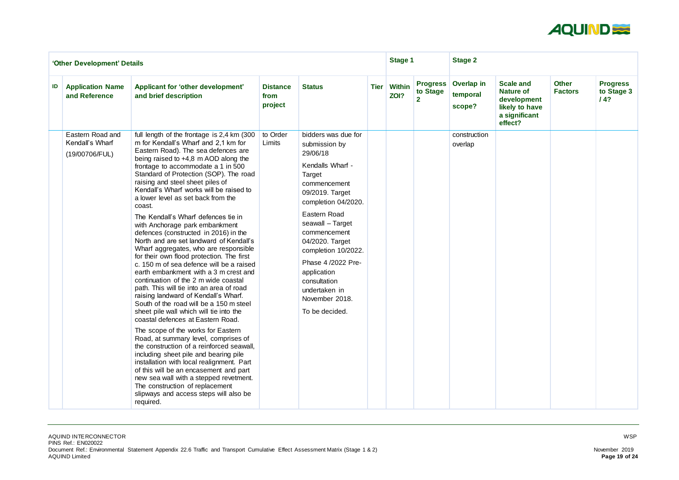

|    | 'Other Development' Details                           |                                                                                                                                                                                                                                                                                                                                                                                                                                                                                                                                                                                                                                                                                                                                                                                                                                                                                                                                                                                                                                                                                                                                                                                                                                                                                                                                                                                |                                    |                                                                                                                                                                                                                                                                                                                                                 |             | <b>Stage 1</b>        |                                               | <b>Stage 2</b>                   |                                                                                                   |                                |                                      |
|----|-------------------------------------------------------|--------------------------------------------------------------------------------------------------------------------------------------------------------------------------------------------------------------------------------------------------------------------------------------------------------------------------------------------------------------------------------------------------------------------------------------------------------------------------------------------------------------------------------------------------------------------------------------------------------------------------------------------------------------------------------------------------------------------------------------------------------------------------------------------------------------------------------------------------------------------------------------------------------------------------------------------------------------------------------------------------------------------------------------------------------------------------------------------------------------------------------------------------------------------------------------------------------------------------------------------------------------------------------------------------------------------------------------------------------------------------------|------------------------------------|-------------------------------------------------------------------------------------------------------------------------------------------------------------------------------------------------------------------------------------------------------------------------------------------------------------------------------------------------|-------------|-----------------------|-----------------------------------------------|----------------------------------|---------------------------------------------------------------------------------------------------|--------------------------------|--------------------------------------|
| ID | <b>Application Name</b><br>and Reference              | Applicant for 'other development'<br>and brief description                                                                                                                                                                                                                                                                                                                                                                                                                                                                                                                                                                                                                                                                                                                                                                                                                                                                                                                                                                                                                                                                                                                                                                                                                                                                                                                     | <b>Distance</b><br>from<br>project | <b>Status</b>                                                                                                                                                                                                                                                                                                                                   | <b>Tier</b> | <b>Within</b><br>ZOI? | <b>Progress</b><br>to Stage<br>$\overline{2}$ | Overlap in<br>temporal<br>scope? | <b>Scale and</b><br><b>Nature of</b><br>development<br>likely to have<br>a significant<br>effect? | <b>Other</b><br><b>Factors</b> | <b>Progress</b><br>to Stage 3<br>14? |
|    | Eastern Road and<br>Kendall's Wharf<br>(19/00706/FUL) | full length of the frontage is 2,4 km (300<br>m for Kendall's Wharf and 2.1 km for<br>Eastern Road). The sea defences are<br>being raised to +4,8 m AOD along the<br>frontage to accommodate a 1 in 500<br>Standard of Protection (SOP). The road<br>raising and steel sheet piles of<br>Kendall's Wharf works will be raised to<br>a lower level as set back from the<br>coast.<br>The Kendall's Wharf defences tie in<br>with Anchorage park embankment<br>defences (constructed in 2016) in the<br>North and are set landward of Kendall's<br>Wharf aggregates, who are responsible<br>for their own flood protection. The first<br>c. 150 m of sea defence will be a raised<br>earth embankment with a 3 m crest and<br>continuation of the 2 m wide coastal<br>path. This will tie into an area of road<br>raising landward of Kendall's Wharf.<br>South of the road will be a 150 m steel<br>sheet pile wall which will tie into the<br>coastal defences at Eastern Road.<br>The scope of the works for Eastern<br>Road, at summary level, comprises of<br>the construction of a reinforced seawall,<br>including sheet pile and bearing pile<br>installation with local realignment. Part<br>of this will be an encasement and part<br>new sea wall with a stepped revetment.<br>The construction of replacement<br>slipways and access steps will also be<br>required. | to Order<br>Limits                 | bidders was due for<br>submission by<br>29/06/18<br>Kendalls Wharf -<br>Target<br>commencement<br>09/2019. Target<br>completion 04/2020.<br>Eastern Road<br>seawall - Target<br>commencement<br>04/2020. Target<br>completion 10/2022.<br>Phase 4/2022 Pre-<br>application<br>consultation<br>undertaken in<br>November 2018.<br>To be decided. |             |                       |                                               | construction<br>overlap          |                                                                                                   |                                |                                      |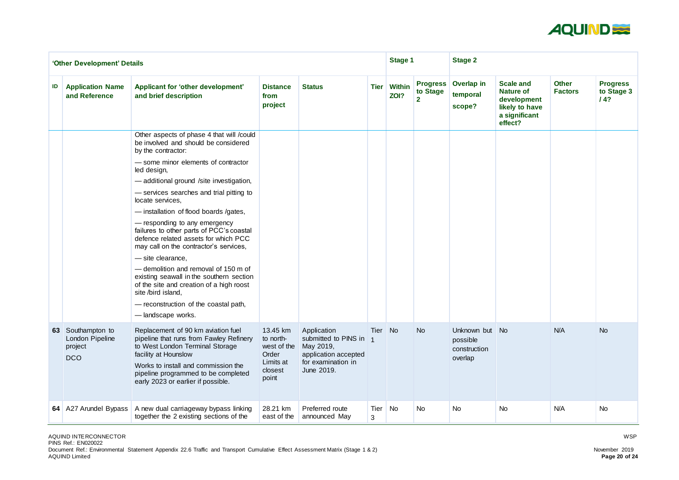

|    | 'Other Development' Details                                   |                                                                                                                                                                                                                                                              |                                                                                |                                                                                                              |             | <b>Stage 1</b>              |                                             | <b>Stage 2</b>                                     |                                                                                                   |                                |                                      |
|----|---------------------------------------------------------------|--------------------------------------------------------------------------------------------------------------------------------------------------------------------------------------------------------------------------------------------------------------|--------------------------------------------------------------------------------|--------------------------------------------------------------------------------------------------------------|-------------|-----------------------------|---------------------------------------------|----------------------------------------------------|---------------------------------------------------------------------------------------------------|--------------------------------|--------------------------------------|
| ID | <b>Application Name</b><br>and Reference                      | Applicant for 'other development'<br>and brief description                                                                                                                                                                                                   | <b>Distance</b><br>from<br>project                                             | <b>Status</b>                                                                                                | <b>Tier</b> | <b>Within</b><br>ZOI?       | <b>Progress</b><br>to Stage<br>$\mathbf{2}$ | Overlap in<br>temporal<br>scope?                   | <b>Scale and</b><br><b>Nature of</b><br>development<br>likely to have<br>a significant<br>effect? | <b>Other</b><br><b>Factors</b> | <b>Progress</b><br>to Stage 3<br>/4? |
|    |                                                               | Other aspects of phase 4 that will /could<br>be involved and should be considered<br>by the contractor:<br>- some minor elements of contractor                                                                                                               |                                                                                |                                                                                                              |             |                             |                                             |                                                    |                                                                                                   |                                |                                      |
|    |                                                               | led design,<br>-additional ground /site investigation,                                                                                                                                                                                                       |                                                                                |                                                                                                              |             |                             |                                             |                                                    |                                                                                                   |                                |                                      |
|    |                                                               | - services searches and trial pitting to<br>locate services,                                                                                                                                                                                                 |                                                                                |                                                                                                              |             |                             |                                             |                                                    |                                                                                                   |                                |                                      |
|    |                                                               | - installation of flood boards /gates,                                                                                                                                                                                                                       |                                                                                |                                                                                                              |             |                             |                                             |                                                    |                                                                                                   |                                |                                      |
|    |                                                               | - responding to any emergency<br>failures to other parts of PCC's coastal<br>defence related assets for which PCC<br>may call on the contractor's services,                                                                                                  |                                                                                |                                                                                                              |             |                             |                                             |                                                    |                                                                                                   |                                |                                      |
|    |                                                               | - site clearance,                                                                                                                                                                                                                                            |                                                                                |                                                                                                              |             |                             |                                             |                                                    |                                                                                                   |                                |                                      |
|    |                                                               | - demolition and removal of 150 m of<br>existing seawall in the southern section<br>of the site and creation of a high roost<br>site /bird island,                                                                                                           |                                                                                |                                                                                                              |             |                             |                                             |                                                    |                                                                                                   |                                |                                      |
|    |                                                               | - reconstruction of the coastal path,<br>-landscape works.                                                                                                                                                                                                   |                                                                                |                                                                                                              |             |                             |                                             |                                                    |                                                                                                   |                                |                                      |
|    | 63 Southampton to<br>London Pipeline<br>project<br><b>DCO</b> | Replacement of 90 km aviation fuel<br>pipeline that runs from Fawley Refinery<br>to West London Terminal Storage<br>facility at Hounslow<br>Works to install and commission the<br>pipeline programmed to be completed<br>early 2023 or earlier if possible. | 13.45 km<br>to north-<br>west of the<br>Order<br>Limits at<br>closest<br>point | Application<br>submitted to PINS in<br>May 2019,<br>application accepted<br>for examination in<br>June 2019. | Tier No     |                             | <b>No</b>                                   | Unknown but<br>possible<br>construction<br>overlap | $\blacksquare$ No                                                                                 | N/A                            | <b>No</b>                            |
|    | 64 A27 Arundel Bypass                                         | A new dual carriageway bypass linking<br>together the 2 existing sections of the                                                                                                                                                                             | 28.21 km<br>east of the                                                        | Preferred route<br>announced May                                                                             | Tier<br>3   | $\overline{\phantom{a}}$ No | <b>No</b>                                   | <b>No</b>                                          | <b>No</b>                                                                                         | N/A                            | <b>No</b>                            |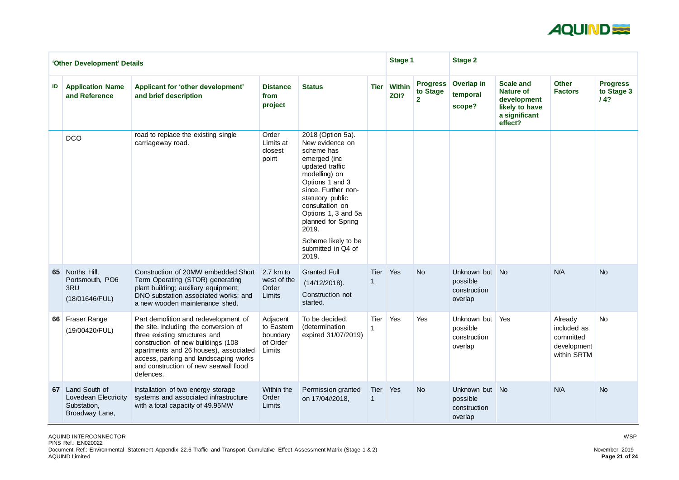

|    | 'Other Development' Details                                                   |                                                                                                                                                                                                                                                                                              |                                                          |                                                                                                                                                                                                                                                                                                     |             | <b>Stage 1</b>        |                                               | <b>Stage 2</b>                                        |                                                                                                   |                                                                   |                                      |
|----|-------------------------------------------------------------------------------|----------------------------------------------------------------------------------------------------------------------------------------------------------------------------------------------------------------------------------------------------------------------------------------------|----------------------------------------------------------|-----------------------------------------------------------------------------------------------------------------------------------------------------------------------------------------------------------------------------------------------------------------------------------------------------|-------------|-----------------------|-----------------------------------------------|-------------------------------------------------------|---------------------------------------------------------------------------------------------------|-------------------------------------------------------------------|--------------------------------------|
| ID | <b>Application Name</b><br>and Reference                                      | <b>Applicant for 'other development'</b><br>and brief description                                                                                                                                                                                                                            | <b>Distance</b><br>from<br>project                       | <b>Status</b>                                                                                                                                                                                                                                                                                       | <b>Tier</b> | <b>Within</b><br>ZOI? | <b>Progress</b><br>to Stage<br>2 <sup>1</sup> | Overlap in<br>temporal<br>scope?                      | <b>Scale and</b><br><b>Nature of</b><br>development<br>likely to have<br>a significant<br>effect? | <b>Other</b><br><b>Factors</b>                                    | <b>Progress</b><br>to Stage 3<br>14? |
|    | <b>DCO</b>                                                                    | road to replace the existing single<br>carriageway road.                                                                                                                                                                                                                                     | Order<br>Limits at<br>closest<br>point                   | 2018 (Option 5a).<br>New evidence on<br>scheme has<br>emerged (inc<br>updated traffic<br>modelling) on<br>Options 1 and 3<br>since. Further non-<br>statutory public<br>consultation on<br>Options 1, 3 and 5a<br>planned for Spring<br>2019.<br>Scheme likely to be<br>submitted in Q4 of<br>2019. |             |                       |                                               |                                                       |                                                                                                   |                                                                   |                                      |
|    | 65 Norths Hill,<br>Portsmouth, PO6<br>3RU<br>(18/01646/FUL)                   | Construction of 20MW embedded Short<br>Term Operating (STOR) generating<br>plant building; auxiliary equipment;<br>DNO substation associated works; and<br>a new wooden maintenance shed.                                                                                                    | 2.7 km to<br>west of the<br>Order<br>Limits              | <b>Granted Full</b><br>(14/12/2018).<br>Construction not<br>started.                                                                                                                                                                                                                                | <b>Tier</b> | Yes                   | <b>No</b>                                     | Unknown but No<br>possible<br>construction<br>overlap |                                                                                                   | N/A                                                               | <b>No</b>                            |
| 66 | <b>Fraser Range</b><br>(19/00420/FUL)                                         | Part demolition and redevelopment of<br>the site. Including the conversion of<br>three existing structures and<br>construction of new buildings (108<br>apartments and 26 houses), associated<br>access, parking and landscaping works<br>and construction of new seawall flood<br>defences. | Adjacent<br>to Eastern<br>boundary<br>of Order<br>Limits | To be decided.<br>(determination<br>expired 31/07/2019)                                                                                                                                                                                                                                             | Tier        | Yes                   | Yes                                           | Unknown but<br>possible<br>construction<br>overlap    | Yes                                                                                               | Already<br>included as<br>committed<br>development<br>within SRTM | No                                   |
| 67 | Land South of<br><b>Lovedean Electricity</b><br>Substation,<br>Broadway Lane, | Installation of two energy storage<br>systems and associated infrastructure<br>with a total capacity of 49.95MW                                                                                                                                                                              | Within the<br>Order<br>Limits                            | Permission granted<br>on 17/04//2018,                                                                                                                                                                                                                                                               | Tier        | Yes                   | <b>No</b>                                     | Unknown but No<br>possible<br>construction<br>overlap |                                                                                                   | N/A                                                               | <b>No</b>                            |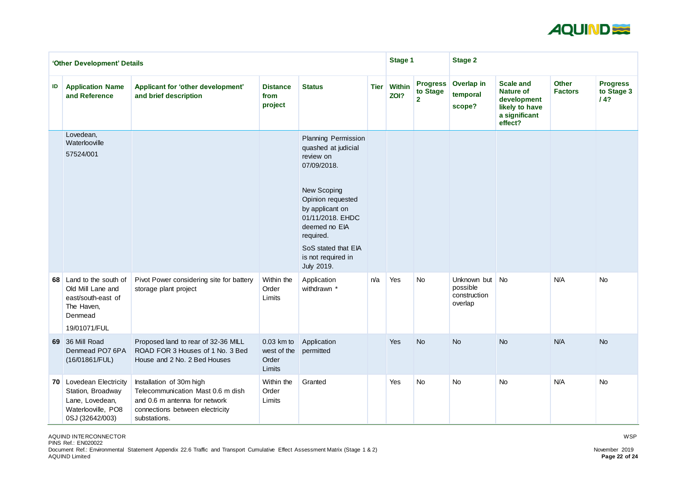

|    | 'Other Development' Details                                                                                 |                                                                                                                                                   |                                                |                                                                                                                                                                                                                                                   |             | <b>Stage 1</b>        |                                               | <b>Stage 2</b>                                        |                                                                                                   |                                |                                      |
|----|-------------------------------------------------------------------------------------------------------------|---------------------------------------------------------------------------------------------------------------------------------------------------|------------------------------------------------|---------------------------------------------------------------------------------------------------------------------------------------------------------------------------------------------------------------------------------------------------|-------------|-----------------------|-----------------------------------------------|-------------------------------------------------------|---------------------------------------------------------------------------------------------------|--------------------------------|--------------------------------------|
| ID | <b>Application Name</b><br>and Reference                                                                    | Applicant for 'other development'<br>and brief description                                                                                        | <b>Distance</b><br>from<br>project             | <b>Status</b>                                                                                                                                                                                                                                     | <b>Tier</b> | <b>Within</b><br>ZOI? | <b>Progress</b><br>to Stage<br>2 <sup>1</sup> | <b>Overlap in</b><br>temporal<br>scope?               | <b>Scale and</b><br><b>Nature of</b><br>development<br>likely to have<br>a significant<br>effect? | <b>Other</b><br><b>Factors</b> | <b>Progress</b><br>to Stage 3<br>/4? |
|    | Lovedean,<br>Waterlooville<br>57524/001                                                                     |                                                                                                                                                   |                                                | <b>Planning Permission</b><br>quashed at judicial<br>review on<br>07/09/2018.<br>New Scoping<br>Opinion requested<br>by applicant on<br>01/11/2018. EHDC<br>deemed no EIA<br>required.<br>SoS stated that EIA<br>is not required in<br>July 2019. |             |                       |                                               |                                                       |                                                                                                   |                                |                                      |
|    | 68 Land to the south of<br>Old Mill Lane and<br>east/south-east of<br>The Haven,<br>Denmead<br>19/01071/FUL | Pivot Power considering site for battery<br>storage plant project                                                                                 | Within the<br>Order<br>Limits                  | Application<br>withdrawn *                                                                                                                                                                                                                        | n/a         | Yes                   | <b>No</b>                                     | Unknown but No<br>possible<br>construction<br>overlap |                                                                                                   | N/A                            | <b>No</b>                            |
|    | 69 36 Mill Road<br>Denmead PO7 6PA<br>(16/01861/FUL)                                                        | Proposed land to rear of 32-36 MILL<br>ROAD FOR 3 Houses of 1 No. 3 Bed<br>House and 2 No. 2 Bed Houses                                           | $0.03$ km to<br>west of the<br>Order<br>Limits | Application<br>permitted                                                                                                                                                                                                                          |             | Yes                   | <b>No</b>                                     | <b>No</b>                                             | <b>No</b>                                                                                         | N/A                            | <b>No</b>                            |
|    | 70 Lovedean Electricity<br>Station, Broadway<br>Lane, Lovedean,<br>Waterlooville, PO8<br>0SJ (32642/003)    | Installation of 30m high<br>Telecommunication Mast 0.6 m dish<br>and 0.6 m antenna for network<br>connections between electricity<br>substations. | Within the<br>Order<br>Limits                  | Granted                                                                                                                                                                                                                                           |             | Yes                   | <b>No</b>                                     | <b>No</b>                                             | <b>No</b>                                                                                         | N/A                            | <b>No</b>                            |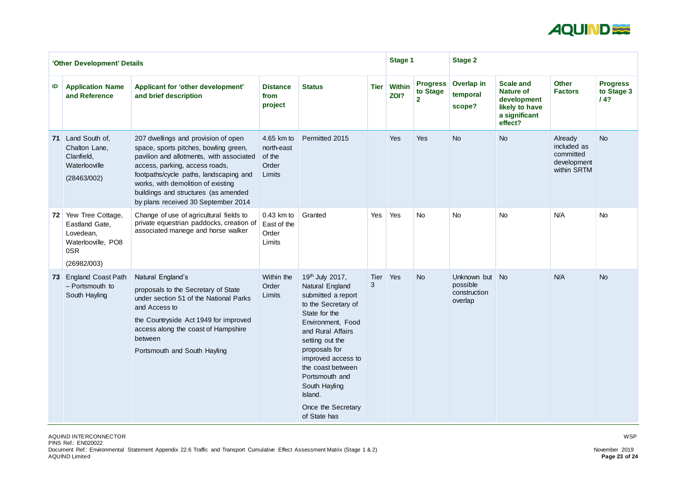

| 'Other Development' Details |                                                                                              |                                                                                                                                                                                                                                                                                                                           |                                                       |                                                                                                                                                                                                                                                                                                               |                  | <b>Stage 1</b>        |                                               | <b>Stage 2</b>                                     |                                                                                                   |                                                                   |                                      |
|-----------------------------|----------------------------------------------------------------------------------------------|---------------------------------------------------------------------------------------------------------------------------------------------------------------------------------------------------------------------------------------------------------------------------------------------------------------------------|-------------------------------------------------------|---------------------------------------------------------------------------------------------------------------------------------------------------------------------------------------------------------------------------------------------------------------------------------------------------------------|------------------|-----------------------|-----------------------------------------------|----------------------------------------------------|---------------------------------------------------------------------------------------------------|-------------------------------------------------------------------|--------------------------------------|
| ID                          | <b>Application Name</b><br>and Reference                                                     | <b>Applicant for 'other development'</b><br>and brief description                                                                                                                                                                                                                                                         | <b>Distance</b><br>from<br>project                    | <b>Status</b>                                                                                                                                                                                                                                                                                                 | <b>Tier</b>      | <b>Within</b><br>ZOI? | <b>Progress</b><br>to Stage<br>$\overline{2}$ | Overlap in<br>temporal<br>scope?                   | <b>Scale and</b><br><b>Nature of</b><br>development<br>likely to have<br>a significant<br>effect? | <b>Other</b><br><b>Factors</b>                                    | <b>Progress</b><br>to Stage 3<br>14? |
| 71                          | Land South of,<br>Chalton Lane,<br>Clanfield,<br>Waterlooville<br>(28463/002)                | 207 dwellings and provision of open<br>space, sports pitches, bowling green,<br>pavilion and allotments, with associated<br>access, parking, access roads,<br>footpaths/cycle paths, landscaping and<br>works, with demolition of existing<br>buildings and structures (as amended<br>by plans received 30 September 2014 | 4.65 km to<br>north-east<br>of the<br>Order<br>Limits | Permitted 2015                                                                                                                                                                                                                                                                                                |                  | Yes                   | Yes                                           | <b>No</b>                                          | <b>No</b>                                                                                         | Already<br>included as<br>committed<br>development<br>within SRTM | <b>No</b>                            |
| 72                          | Yew Tree Cottage,<br>Eastland Gate,<br>Lovedean,<br>Waterlooville, PO8<br>0SR<br>(26982/003) | Change of use of agricultural fields to<br>private equestrian paddocks, creation of<br>associated manege and horse walker                                                                                                                                                                                                 | 0.43 km to<br>East of the<br>Order<br>Limits          | Granted                                                                                                                                                                                                                                                                                                       | Yes              | Yes                   | <b>No</b>                                     | <b>No</b>                                          | <b>No</b>                                                                                         | N/A                                                               | <b>No</b>                            |
|                             | 73 England Coast Path<br>- Portsmouth to<br>South Hayling                                    | Natural England's<br>proposals to the Secretary of State<br>under section 51 of the National Parks<br>and Access to<br>the Countryside Act 1949 for improved<br>access along the coast of Hampshire<br>between<br>Portsmouth and South Hayling                                                                            | Within the<br>Order<br>Limits                         | 19th July 2017,<br>Natural England<br>submitted a report<br>to the Secretary of<br>State for the<br>Environment, Food<br>and Rural Affairs<br>setting out the<br>proposals for<br>improved access to<br>the coast between<br>Portsmouth and<br>South Hayling<br>Island.<br>Once the Secretary<br>of State has | <b>Tier</b><br>3 | Yes                   | <b>No</b>                                     | Unknown but<br>possible<br>construction<br>overlap | No                                                                                                | N/A                                                               | <b>No</b>                            |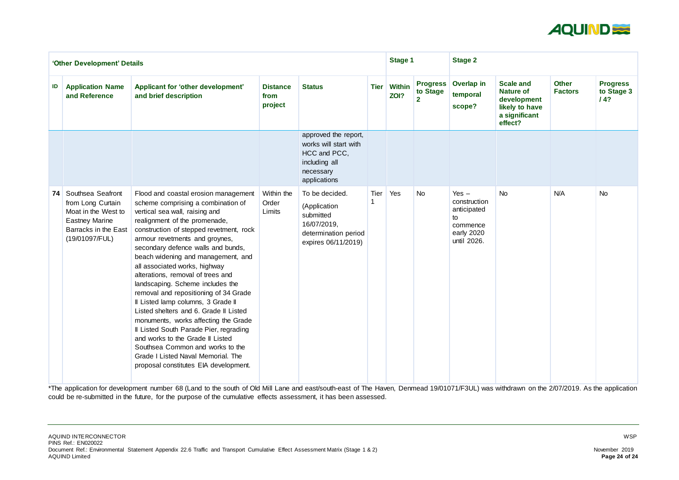

| 'Other Development' Details |                                                                                                                                  |                                                                                                                                                                                                                                                                                                                                                                                                                                                                                                                                                                                                                                                                                                                                                                                    |                                    |                                                                                                             |             | <b>Stage 1</b>        |                                               | <b>Stage 2</b>                                                                        |                                                                                                   |                                |                                      |  |
|-----------------------------|----------------------------------------------------------------------------------------------------------------------------------|------------------------------------------------------------------------------------------------------------------------------------------------------------------------------------------------------------------------------------------------------------------------------------------------------------------------------------------------------------------------------------------------------------------------------------------------------------------------------------------------------------------------------------------------------------------------------------------------------------------------------------------------------------------------------------------------------------------------------------------------------------------------------------|------------------------------------|-------------------------------------------------------------------------------------------------------------|-------------|-----------------------|-----------------------------------------------|---------------------------------------------------------------------------------------|---------------------------------------------------------------------------------------------------|--------------------------------|--------------------------------------|--|
| ID                          | <b>Application Name</b><br>and Reference                                                                                         | Applicant for 'other development'<br>and brief description                                                                                                                                                                                                                                                                                                                                                                                                                                                                                                                                                                                                                                                                                                                         | <b>Distance</b><br>from<br>project | <b>Status</b>                                                                                               | <b>Tier</b> | <b>Within</b><br>ZOI? | <b>Progress</b><br>to Stage<br>$\overline{2}$ | <b>Overlap in</b><br>temporal<br>scope?                                               | <b>Scale and</b><br><b>Nature of</b><br>development<br>likely to have<br>a significant<br>effect? | <b>Other</b><br><b>Factors</b> | <b>Progress</b><br>to Stage 3<br>/4? |  |
|                             |                                                                                                                                  |                                                                                                                                                                                                                                                                                                                                                                                                                                                                                                                                                                                                                                                                                                                                                                                    |                                    | approved the report,<br>works will start with<br>HCC and PCC,<br>including all<br>necessary<br>applications |             |                       |                                               |                                                                                       |                                                                                                   |                                |                                      |  |
| 74                          | Southsea Seafront<br>from Long Curtain<br>Moat in the West to<br><b>Eastney Marine</b><br>Barracks in the East<br>(19/01097/FUL) | Flood and coastal erosion management<br>scheme comprising a combination of<br>vertical sea wall, raising and<br>realignment of the promenade,<br>construction of stepped revetment, rock<br>armour revetments and groynes,<br>secondary defence walls and bunds,<br>beach widening and management, and<br>all associated works, highway<br>alterations, removal of trees and<br>landscaping. Scheme includes the<br>removal and repositioning of 34 Grade<br>Il Listed lamp columns, 3 Grade II<br>Listed shelters and 6. Grade II Listed<br>monuments, works affecting the Grade<br>Il Listed South Parade Pier, regrading<br>and works to the Grade II Listed<br>Southsea Common and works to the<br>Grade I Listed Naval Memorial. The<br>proposal constitutes EIA development. | Within the<br>Order<br>Limits      | To be decided.<br>(Application<br>submitted<br>16/07/2019,<br>determination period<br>expires 06/11/2019)   | Tier        | Yes                   | <b>No</b>                                     | Yes $-$<br>construction<br>anticipated<br>to<br>commence<br>early 2020<br>until 2026. | <b>No</b>                                                                                         | N/A                            | <b>No</b>                            |  |

\*The application for development number 68 (Land to the south of Old Mill Lane and east/south-east of The Haven, Denmead 19/01071/F3UL) was withdrawn on the 2/07/2019. As the application could be re-submitted in the future, for the purpose of the cumulative effects assessment, it has been assessed.